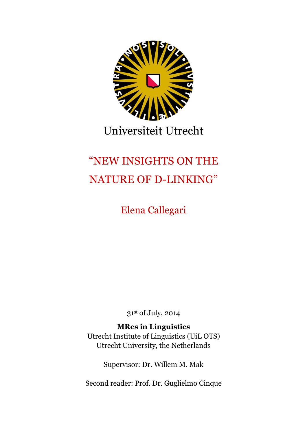

# Universiteit Utrecht

# "NEW INSIGHTS ON THE NATURE OF D-LINKING"

Elena Callegari

31st of July, 2014

## **MRes in Linguistics**

Utrecht Institute of Linguistics (UiL OTS) Utrecht University, the Netherlands

Supervisor: Dr. Willem M. Mak

Second reader: Prof. Dr. Guglielmo Cinque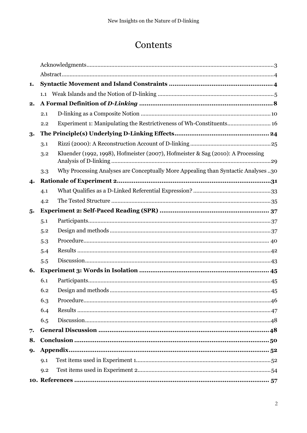## Contents

|    | 9.2 |                                                                                    |  |  |  |
|----|-----|------------------------------------------------------------------------------------|--|--|--|
|    | 9.1 |                                                                                    |  |  |  |
| 9. |     | Appendix                                                                           |  |  |  |
| 8. |     |                                                                                    |  |  |  |
| 7. |     |                                                                                    |  |  |  |
|    | 6.5 |                                                                                    |  |  |  |
|    | 6.4 |                                                                                    |  |  |  |
|    | 6.3 |                                                                                    |  |  |  |
|    | 6.2 |                                                                                    |  |  |  |
|    | 6.1 |                                                                                    |  |  |  |
| 6. |     |                                                                                    |  |  |  |
|    | 5.5 |                                                                                    |  |  |  |
|    | 5.4 |                                                                                    |  |  |  |
|    | 5.3 |                                                                                    |  |  |  |
|    | 5.2 |                                                                                    |  |  |  |
|    | 5.1 |                                                                                    |  |  |  |
| 5. |     |                                                                                    |  |  |  |
|    | 4.2 |                                                                                    |  |  |  |
|    | 4.1 |                                                                                    |  |  |  |
| 4. |     |                                                                                    |  |  |  |
|    | 3.3 | Why Processing Analyses are Conceptually More Appealing than Syntactic Analyses 30 |  |  |  |
|    | 3.2 | Kluender (1992, 1998), Hofmeister (2007), Hofmeister & Sag (2010): A Processing    |  |  |  |
|    | 3.1 |                                                                                    |  |  |  |
| 3. |     |                                                                                    |  |  |  |
|    | 2.2 | Experiment 1: Manipulating the Restrictiveness of Wh-Constituents 16               |  |  |  |
|    | 2.1 |                                                                                    |  |  |  |
| 2. |     |                                                                                    |  |  |  |
|    |     |                                                                                    |  |  |  |
| 1. |     |                                                                                    |  |  |  |
|    |     |                                                                                    |  |  |  |
|    |     |                                                                                    |  |  |  |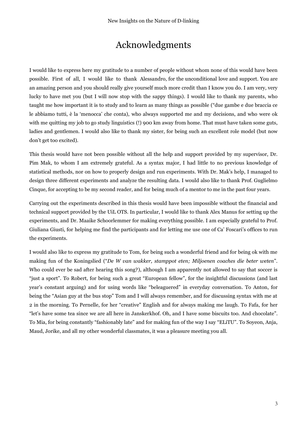## Acknowledgments

<span id="page-2-0"></span>I would like to express here my gratitude to a number of people without whom none of this would have been possible. First of all, I would like to thank Alessandro, for the unconditional love and support. You are an amazing person and you should really give yourself much more credit than I know you do. I am very, very lucky to have met you (but I will now stop with the sappy things). I would like to thank my parents, who taught me how important it is to study and to learn as many things as possible ("due gambe e due braccia ce le abbiamo tutti, è la 'menocca' che conta), who always supported me and my decisions, and who were ok with me quitting my job to go study linguistics (!) 900 km away from home. That must have taken some guts, ladies and gentlemen. I would also like to thank my sister, for being such an excellent role model (but now don't get too excited).

This thesis would have not been possible without all the help and support provided by my supervisor, Dr. Pim Mak, to whom I am extremely grateful. As a syntax major, I had little to no previous knowledge of statistical methods, nor on how to properly design and run experiments. With Dr. Mak's help, I managed to design three different experiments and analyze the resulting data. I would also like to thank Prof. Guglielmo Cinque, for accepting to be my second reader, and for being much of a mentor to me in the past four years.

Carrying out the experiments described in this thesis would have been impossible without the financial and technical support provided by the UiL OTS. In particular, I would like to thank Alex Manus for setting up the experiments, and Dr. Maaike Schoorlemmer for making everything possible. I am especially grateful to Prof. Giuliana Giusti, for helping me find the participants and for letting me use one of Ca' Foscari's offices to run the experiments.

I would also like to express my gratitude to Tom, for being such a wonderful friend and for being ok with me making fun of the Koningslied ("*De W van wakker, stamppot eten; Miljoenen coaches die beter weten*". Who could ever be sad after hearing this song?), although I am apparently not allowed to say that soccer is "just a sport". To Robert, for being such a great "European fellow", for the insightful discussions (and last year's constant arguing) and for using words like "beleaguered" in everyday conversation. To Anton, for being the "Asian guy at the bus stop" Tom and I will always remember, and for discussing syntax with me at 2 in the morning. To Pernelle, for her "creative" English and for always making me laugh. To Fafa, for her "let's have some tea since we are all here in Janskerkhof. Oh, and I have some biscuits too. And chocolate". To Mia, for being constantly "fashionably late" and for making fun of the way I say "ELiTU". To Soyeon, Anja, Maud, Jorike, and all my other wonderful classmates, it was a pleasure meeting you all.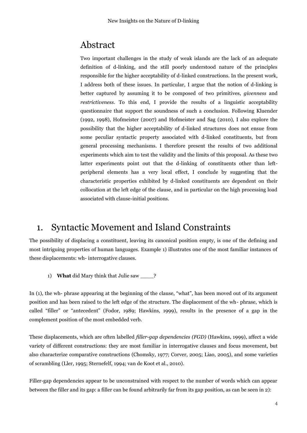## <span id="page-3-0"></span>Abstract

Two important challenges in the study of weak islands are the lack of an adequate definition of d-linking, and the still poorly understood nature of the principles responsible for the higher acceptability of d-linked constructions. In the present work, I address both of these issues. In particular, I argue that the notion of d-linking is better captured by assuming it to be composed of two primitives, *givenness* and *restrictiveness*. To this end, I provide the results of a linguistic acceptability questionnaire that support the soundness of such a conclusion. Following Kluender (1992, 1998), Hofmeister (2007) and Hofmeister and Sag (2010), I also explore the possibility that the higher acceptability of d-linked structures does not ensue from some peculiar syntactic property associated with d-linked constituents, but from general processing mechanisms. I therefore present the results of two additional experiments which aim to test the validity and the limits of this proposal. As these two latter experiments point out that the d-linking of constituents other than leftperipheral elements has a very local effect, I conclude by suggesting that the characteristic properties exhibited by d-linked constituents are dependent on their collocation at the left edge of the clause, and in particular on the high processing load associated with clause-initial positions.

## <span id="page-3-1"></span>1. Syntactic Movement and Island Constraints

The possibility of displacing a constituent, leaving its canonical position empty, is one of the defining and most intriguing properties of human languages. Example 1) illustrates one of the most familiar instances of these displacements: wh- interrogative clauses.

1) **What** did Mary think that Julie saw \_\_\_\_?

In (1), the wh- phrase appearing at the beginning of the clause, "what", has been moved out of its argument position and has been raised to the left edge of the structure. The displacement of the wh- phrase, which is called "filler" or "antecedent" (Fodor, 1989; Hawkins, 1999), results in the presence of a gap in the complement position of the most embedded verb.

These displacements, which are often labelled *filler-gap dependencies (FGD)* (Hawkins, 1999), affect a wide variety of different constructions: they are most familiar in interrogative clauses and focus movement, but also characterize comparative constructions (Chomsky, 1977; Corver, 2005; Liao, 2005), and some varieties of scrambling (Ller, 1995; Sternefelf, 1994; van de Koot et al., 2010).

Filler-gap dependencies appear to be unconstrained with respect to the number of words which can appear between the filler and its gap: a filler can be found arbitrarily far from its gap position, as can be seen in 2):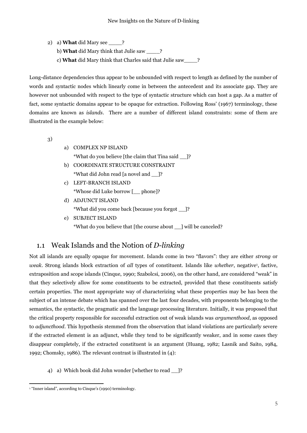2) a) **What** did Mary see \_\_\_\_? b) **What** did Mary think that Julie saw \_\_\_\_? c) **What** did Mary think that Charles said that Julie saw\_\_\_\_?

Long-distance dependencies thus appear to be unbounded with respect to length as defined by the number of words and syntactic nodes which linearly come in between the antecedent and its associate gap. They are however not unbounded with respect to the type of syntactic structure which can host a gap. As a matter of fact, some syntactic domains appear to be opaque for extraction. Following Ross' (1967) terminology, these domains are known as *islands*. There are a number of different island constraints: some of them are illustrated in the example below:

3)

- a) COMPLEX NP ISLAND \*What do you believe [the claim that Tina said \_\_]?
- b) COORDINATE STRUCTURE CONSTRAINT \*What did John read [a novel and \_\_]?
- c) LEFT-BRANCH ISLAND \*Whose did Luke borrow [\_\_ phone]?
- d) ADJUNCT ISLAND \*What did you come back [because you forgot \_\_]?
- e) SUBJECT ISLAND \*What do you believe that [the course about \_\_] will be canceled?

### <span id="page-4-0"></span>1.1 Weak Islands and the Notion of *D-linking*

Not all islands are equally opaque for movement. Islands come in two "flavors": they are either *strong* or weak. Strong islands block extraction of all types of constituent. Islands like *whether*, negative<sup>1</sup>, factive, extraposition and scope islands (Cinque, 1990; Szabolcsi, 2006), on the other hand, are considered "weak" in that they selectively allow for some constituents to be extracted, provided that these constituents satisfy certain properties. The most appropriate way of characterizing what these properties may be has been the subject of an intense debate which has spanned over the last four decades, with proponents belonging to the semantics, the syntactic, the pragmatic and the language processing literature. Initially, it was proposed that the critical property responsible for successful extraction out of weak islands was *argumenthood*, as opposed to *adjuncthood*. This hypothesis stemmed from the observation that island violations are particularly severe if the extracted element is an adjunct, while they tend to be significantly weaker, and in some cases they disappear completely, if the extracted constituent is an argument (Huang, 1982; Lasnik and Saito, 1984, 1992; Chomsky, 1986). The relevant contrast is illustrated in (4):

4) a) Which book did John wonder [whether to read ]?

 $\overline{a}$ <sup>1</sup> "Inner island", according to Cinque's (1990) terminology.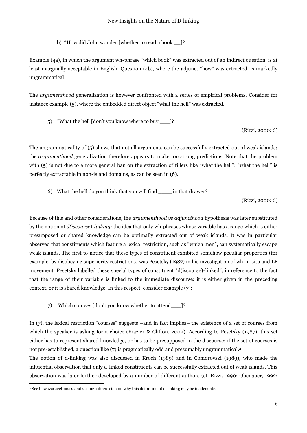b) \*How did John wonder [whether to read a book \_\_]?

Example (4a), in which the argument wh-phrase "which book" was extracted out of an indirect question, is at least marginally acceptable in English. Question (4b), where the adjunct "how" was extracted, is markedly ungrammatical.

The *argumenthood* generalization is however confronted with a series of empirical problems. Consider for instance example (5), where the embedded direct object "what the hell" was extracted.

5) \*What the hell [don't you know where to buy \_\_\_]?

(Rizzi, 2000: 6)

The ungrammaticality of (5) shows that not all arguments can be successfully extracted out of weak islands; the *argumenthood* generalization therefore appears to make too strong predictions. Note that the problem with (5) is not due to a more general ban on the extraction of fillers like "what the hell": "what the hell" is perfectly extractable in non-island domains, as can be seen in (6).

6) What the hell do you think that you will find \_\_\_\_ in that drawer?

(Rizzi, 2000: 6)

Because of this and other considerations, the *argumenthood vs adjuncthood* hypothesis was later substituted by the notion of *d(iscourse)-linking*: the idea that only wh-phrases whose variable has a range which is either presupposed or shared knowledge can be optimally extracted out of weak islands. It was in particular observed that constituents which feature a lexical restriction, such as "which men", can systematically escape weak islands. The first to notice that these types of constituent exhibited somehow peculiar properties (for example, by disobeying superiority restrictions) was Pesetsky (1987) in his investigation of wh-in-situ and LF movement. Pesetsky labelled these special types of constituent "d(iscourse)-linked", in reference to the fact that the range of their variable is linked to the immediate discourse: it is either given in the preceding context, or it is shared knowledge. In this respect, consider example (7):

7) Which courses [don't you know whether to attend\_\_\_]?

In (7), the lexical restriction "courses" suggests –and in fact implies– the existence of a set of courses from which the speaker is asking for a choice (Frazier & Clifton, 2002). According to Pesetsky (1987), this set either has to represent shared knowledge, or has to be presupposed in the discourse: if the set of courses is not pre-established, a question like (7) is pragmatically odd and presumably ungrammatical. 2

The notion of d-linking was also discussed in Kroch (1989) and in Comorovski (1989), who made the influential observation that only d-linked constituents can be successfully extracted out of weak islands. This observation was later further developed by a number of different authors (cf. Rizzi, 1990; Obenauer, 1992;

 $\overline{a}$ 

<sup>2</sup> See however sections 2 and 2.1 for a discussion on why this definition of d-linking may be inadequate.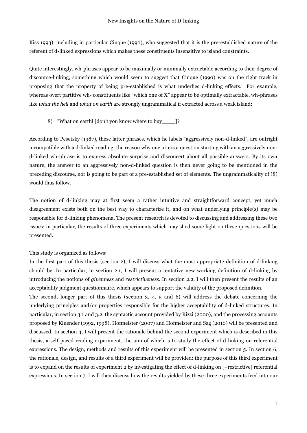Kiss 1993), including in particular Cinque (1990), who suggested that it is the pre-established nature of the referent of d-linked expressions which makes these constituents insensitive to island constraints.

Quite interestingly, wh-phrases appear to be maximally or minimally extractable according to their degree of discourse-linking, something which would seem to suggest that Cinque (1990) was on the right track in proposing that the property of being pre-established is what underlies d-linking effects. For example, whereas overt partitive wh- constituents like "which one of X" appear to be optimally extractable, wh-phrases like *what the hell* and *what on earth* are strongly ungrammatical if extracted across a weak island:

8) \*What on earthl [don't you know where to buy [?]?

According to Pesetsky (1987), these latter phrases, which he labels "aggressively non-d-linked", are outright incompatible with a d-linked reading: the reason why one utters a question starting with an aggressively nond-linked wh-phrase is to express absolute surprise and disconcert about all possible answers. By its own nature, the answer to an aggressively non-d-linked question is then never going to be mentioned in the preceding discourse, nor is going to be part of a pre-established set of elements. The ungrammaticality of (8) would thus follow.

The notion of d-linking may at first seem a rather intuitive and straightforward concept, yet much disagreement exists both on the best way to characterize it, and on what underlying principle(s) may be responsible for d-linking phenomena. The present research is devoted to discussing and addressing these two issues: in particular, the results of three experiments which may shed some light on these questions will be presented.

#### This study is organized as follows:

In the first part of this thesis (section 2), I will discuss what the most appropriate definition of d-linking should be. In particular, in section 2.1, I will present a tentative new working definition of d-linking by introducing the notions of *givenness* and *restrictiveness*. In section 2.2, I will then present the results of an acceptability judgment questionnaire, which appears to support the validity of the proposed definition.

The second, longer part of this thesis (section 3, 4, 5 and 6) will address the debate concerning the underlying principles and/or properties responsible for the higher acceptability of d-linked structures. In particular, in section 3.1 and 3.2, the syntactic account provided by Rizzi (2000), and the processing accounts proposed by Kluender (1992, 1998), Hofmeister (2007) and Hofmeister and Sag (2010) will be presented and discussed. In section 4, I will present the rationale behind the second experiment which is described in this thesis, a self-paced reading experiment, the aim of which is to study the effect of d-linking on referential expressions. The design, methods and results of this experiment will be presented in section 5. In section 6, the rationale, design, and results of a third experiment will be provided: the purpose of this third experiment is to expand on the results of experiment 2 by investigating the effect of d-linking on [+restrictive] referential expressions. In section 7, I will then discuss how the results yielded by these three experiments feed into our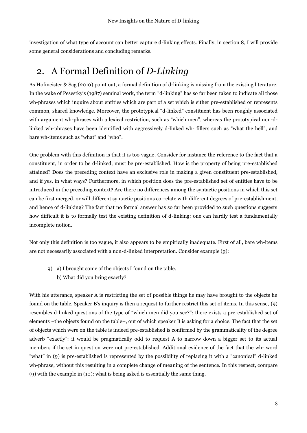investigation of what type of account can better capture d-linking effects. Finally, in section 8, I will provide some general considerations and concluding remarks.

## <span id="page-7-0"></span>2. A Formal Definition of *D-Linking*

As Hofmeister & Sag (2010) point out, a formal definition of d-linking is missing from the existing literature. In the wake of Pesestky's (1987) seminal work, the term "d-linking" has so far been taken to indicate all those wh-phrases which inquire about entities which are part of a set which is either pre-established or represents common, shared knowledge. Moreover, the prototypical "d-linked" constituent has been roughly associated with argument wh-phrases with a lexical restriction, such as "which men", whereas the prototypical non-dlinked wh-phrases have been identified with aggressively d-linked wh- fillers such as "what the hell", and bare wh-items such as "what" and "who".

One problem with this definition is that it is too vague. Consider for instance the reference to the fact that a constituent, in order to be d-linked, must be pre-established. How is the property of being pre-established attained? Does the preceding context have an exclusive role in making a given constituent pre-established, and if yes, in what ways? Furthermore, in which position does the pre-established set of entities have to be introduced in the preceding context? Are there no differences among the syntactic positions in which this set can be first merged, or will different syntactic positions correlate with different degrees of pre-establishment, and hence of d-linking? The fact that no formal answer has so far been provided to such questions suggests how difficult it is to formally test the existing definition of d-linking: one can hardly test a fundamentally incomplete notion.

Not only this definition is too vague, it also appears to be empirically inadequate. First of all, bare wh-items are not necessarily associated with a non-d-linked interpretation. Consider example (9):

9) a) I brought some of the objects I found on the table. b) What did you bring exactly?

With his utterance, speaker A is restricting the set of possible things he may have brought to the objects he found on the table. Speaker B's inquiry is then a request to further restrict this set of items. In this sense, (9) resembles d-linked questions of the type of "which men did you see?": there exists a pre-established set of elements –the objects found on the table–, out of which speaker B is asking for a choice. The fact that the set of objects which were on the table is indeed pre-established is confirmed by the grammaticality of the degree adverb "exactly": it would be pragmatically odd to request A to narrow down a bigger set to its actual members if the set in question were not pre-established. Additional evidence of the fact that the wh- word "what" in (9) is pre-established is represented by the possibility of replacing it with a "canonical" d-linked wh-phrase, without this resulting in a complete change of meaning of the sentence. In this respect, compare (9) with the example in (10): what is being asked is essentially the same thing.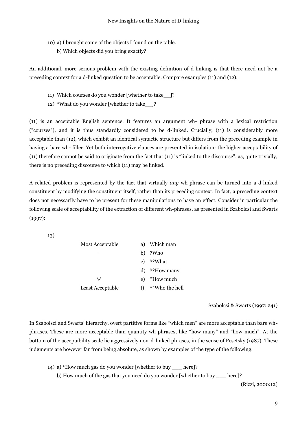- 10) a) I brought some of the objects I found on the table.
	- b) Which objects did you bring exactly?

An additional, more serious problem with the existing definition of d-linking is that there need not be a preceding context for a d-linked question to be acceptable. Compare examples (11) and (12):

- 11) Which courses do you wonder [whether to take\_\_]?
- 12) \*What do you wonder [whether to take\_\_]?

(11) is an acceptable English sentence. It features an argument wh- phrase with a lexical restriction ("courses"), and it is thus standardly considered to be d-linked. Crucially, (11) is considerably more acceptable than (12), which exhibit an identical syntactic structure but differs from the preceding example in having a bare wh- filler. Yet both interrogative clauses are presented in isolation: the higher acceptability of (11) therefore cannot be said to originate from the fact that (11) is "linked to the discourse", as, quite trivially, there is no preceding discourse to which (11) may be linked.

A related problem is represented by the fact that virtually *any* wh-phrase can be turned into a d-linked constituent by modifying the constituent itself, rather than its preceding context. In fact, a preceding context does not necessarily have to be present for these manipulations to have an effect. Consider in particular the following scale of acceptability of the extraction of different wh-phrases, as presented in Szabolcsi and Swarts (1997):

13)



Szabolcsi & Swarts (1997: 241)

In Szabolsci and Swarts' hierarchy, overt partitive forms like "which men" are more acceptable than bare whphrases. These are more acceptable than quantity wh-phrases, like "how many" and "how much". At the bottom of the acceptability scale lie aggressively non-d-linked phrases, in the sense of Pesetsky (1987). These judgments are however far from being absolute, as shown by examples of the type of the following:

14) a) \*How much gas do you wonder [whether to buy \_\_\_ here]?

b) How much of the gas that you need do you wonder [whether to buy \_\_\_ here]?

(Rizzi, 2000:12)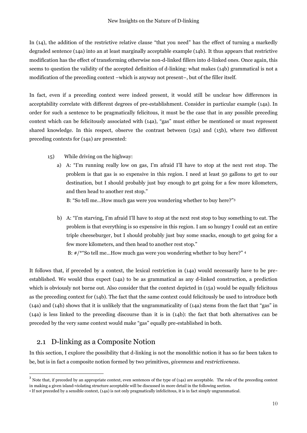In (14), the addition of the restrictive relative clause "that you need" has the effect of turning a markedly degraded sentence (14a) into an at least marginally acceptable example (14b). It thus appears that restrictive modification has the effect of transforming otherwise non-d-linked fillers into d-linked ones. Once again, this seems to question the validity of the accepted definition of d-linking: what makes (14b) grammatical is not a modification of the preceding context –which is anyway not present–, but of the filler itself.

In fact, even if a preceding context were indeed present, it would still be unclear how differences in acceptability correlate with different degrees of pre-establishment. Consider in particular example (14a). In order for such a sentence to be pragmatically felicitous, it must be the case that in any possible preceding context which can be felicitously associated with (14a), "gas" must either be mentioned or must represent shared knowledge. In this respect, observe the contrast between (15a) and (15b), where two different preceding contexts for (14a) are presented:

- 15) While driving on the highway:
	- a) A: "I'm running really low on gas, I'm afraid I'll have to stop at the next rest stop. The problem is that gas is so expensive in this region. I need at least 50 gallons to get to our destination, but I should probably just buy enough to get going for a few more kilometers, and then head to another rest stop."

B: "So tell me…How much gas were you wondering whether to buy here?"<sup>3</sup>

b) A: "I'm starving, I'm afraid I'll have to stop at the next rest stop to buy something to eat. The problem is that everything is so expensive in this region. I am so hungry I could eat an entire triple cheeseburger, but I should probably just buy some snacks, enough to get going for a few more kilometers, and then head to another rest stop." B: #/\*"So tell me…How much gas were you wondering whether to buy here?" <sup>4</sup>

It follows that, if preceded by a context, the lexical restriction in (14a) would necessarily have to be preestablished. We would thus expect (14a) to be as grammatical as any d-linked construction, a prediction which is obviously not borne out. Also consider that the context depicted in (15a) would be equally felicitous as the preceding context for (14b). The fact that the same context could felicitously be used to introduce both (14a) and (14b) shows that it is unlikely that the ungrammaticality of (14a) stems from the fact that "gas" in (14a) is less linked to the preceding discourse than it is in (14b): the fact that both alternatives can be preceded by the very same context would make "gas" equally pre-established in both.

### <span id="page-9-0"></span>2.1 D-linking as a Composite Notion

 $\ddot{\phantom{a}}$ 

In this section, I explore the possibility that d-linking is not the monolithic notion it has so far been taken to be, but is in fact a composite notion formed by two primitives, *givenness* and *restrictiveness*.

 $3$  Note that, if preceded by an appropriate context, even sentences of the type of (14a) are acceptable. The role of the preceding context in making a given island-violating structure acceptable will be discussed in more detail in the following section.

<sup>4</sup> If not preceded by a sensible context, (14a) is not only pragmatically infelicitous, it is in fact simply ungrammatical.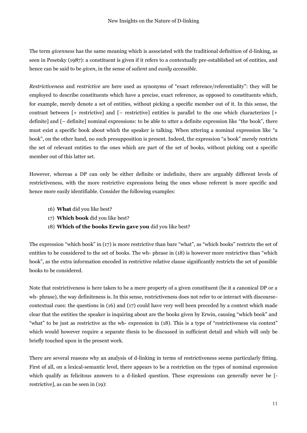The term *givenness* has the same meaning which is associated with the traditional definition of d-linking, as seen in Pesetsky (1987): a constituent is given if it refers to a contextually pre-established set of entities, and hence can be said to be *given*, in the sense of *salient* and *easily accessible*.

*Restrictiveness* and *restrictive* are here used as synonyms of "exact reference/referentiality": they will be employed to describe constituents which have a precise, exact reference, as opposed to constituents which, for example, merely denote a set of entities, without picking a specific member out of it. In this sense, the contrast between [+ restrictive] and [– restrictive] entities is parallel to the one which characterizes [+ definite] and [– definite] nominal expressions: to be able to utter a definite expression like "the book", there must exist a specific book about which the speaker is talking. When uttering a nominal expression like "a book", on the other hand, no such presupposition is present. Indeed, the expression "a book" merely restricts the set of relevant entities to the ones which are part of the set of books, without picking out a specific member out of this latter set.

However, whereas a DP can only be either definite or indefinite, there are arguably different levels of restrictiveness, with the more restrictive expressions being the ones whose referent is more specific and hence more easily identifiable. Consider the following examples:

- 16) **What** did you like best?
- 17) **Which book** did you like best?
- 18) **Which of the books Erwin gave you** did you like best?

The expression "which book" in (17) is more restrictive than bare "what", as "which books" restricts the set of entities to be considered to the set of books. The wh- phrase in (18) is however more restrictive than "which book", as the extra information encoded in restrictive relative clause significantly restricts the set of possible books to be considered.

Note that restrictiveness is here taken to be a mere property of a given constituent (be it a canonical DP or a wh- phrase), the way definiteness is. In this sense, restrictiveness does not refer to or interact with discoursecontextual cues: the questions in (16) and (17) could have very well been preceded by a context which made clear that the entities the speaker is inquiring about are the books given by Erwin, causing "which book" and "what" to be just as restrictive as the wh- expression in (18). This is a type of "restrictiveness via context" which would however require a separate thesis to be discussed in sufficient detail and which will only be briefly touched upon in the present work.

There are several reasons why an analysis of d-linking in terms of restrictiveness seems particularly fitting. First of all, on a lexical-semantic level, there appears to be a restriction on the types of nominal expression which qualify as felicitous answers to a d-linked question. These expressions can generally never be [ restrictive], as can be seen in (19):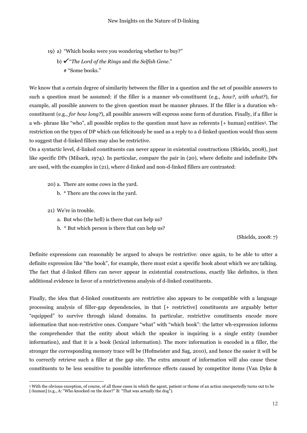- 19) a) "Which books were you wondering whether to buy?"
	- b) "*The Lord of the Rings* and *the Selfish Gene*." # "Some books."

We know that a certain degree of similarity between the filler in a question and the set of possible answers to such a question must be assumed: if the filler is a manner wh-constituent (e.g., *how?*, *with what?*), for example, all possible answers to the given question must be manner phrases. If the filler is a duration whconstituent (e.g., *for how long?*), all possible answers will express some form of duration. Finally, if a filler is a wh- phrase like "who", all possible replies to the question must have as referents [+ human] entities5. The restriction on the types of DP which can felicitously be used as a reply to a d-linked question would thus seem to suggest that d-linked fillers may also be restrictive.

On a syntactic level, d-linked constituents can never appear in existential constructions (Shields, 2008), just like specific DPs (Milsark, 1974). In particular, compare the pair in (20), where definite and indefinite DPs are used, with the examples in (21), where d-linked and non-d-linked fillers are contrasted:

- 20) a. There are some cows in the yard.
	- b. \* There are the cows in the yard.
- 21) We're in trouble.

 $\ddot{\phantom{a}}$ 

- a. But who (the hell) is there that can help us?
- b. \* But which person is there that can help us?

(Shields, 2008: 7)

Definite expressions can reasonably be argued to always be restrictive: once again, to be able to utter a definite expression like "the book", for example, there must exist a specific book about which we are talking. The fact that d-linked fillers can never appear in existential constructions, exactly like definites, is then additional evidence in favor of a restrictiveness analysis of d-linked constituents.

Finally, the idea that d-linked constituents are restrictive also appears to be compatible with a language processing analysis of filler-gap dependencies, in that [+ restrictive] constituents are arguably better "equipped" to survive through island domains. In particular, restrictive constituents encode more information that non-restrictive ones. Compare "what" with "which book": the latter wh-expression informs the comprehender that the entity about which the speaker is inquiring is a single entity (number information), and that it is a book (lexical information). The more information is encoded in a filler, the stronger the corresponding memory trace will be (Hofmeister and Sag, 2010), and hence the easier it will be to correctly retrieve such a filler at the gap site. The extra amount of information will also cause these constituents to be less sensitive to possible interference effects caused by competitor items (Van Dyke &

<sup>5</sup> With the obvious exception, of course, of all those cases in which the agent, patient or theme of an action unexpectedly turns out to be [-human] (e.g., A: "Who knocked on the door?" B: "That was actually the dog").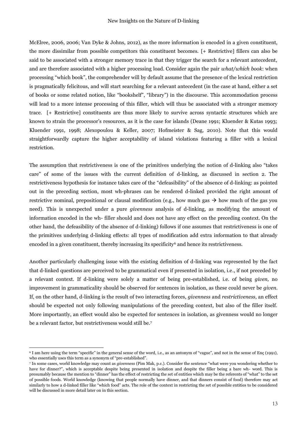McElree, 2006, 2006; Van Dyke & Johns, 2012), as the more information is encoded in a given constituent, the more dissimilar from possible competitors this constituent becomes. [+ Restrictive] fillers can also be said to be associated with a stronger memory trace in that they trigger the search for a relevant antecedent, and are therefore associated with a higher processing load. Consider again the pair *what/which book*: when processing "which book", the comprehender will by default assume that the presence of the lexical restriction is pragmatically felicitous, and will start searching for a relevant antecedent (in the case at hand, either a set of books or some related notion, like "bookshelf", "library") in the discourse. This accommodation process will lead to a more intense processing of this filler, which will thus be associated with a stronger memory trace. [+ Restrictive] constituents are thus more likely to survive across syntactic structures which are known to strain the processor's resources, as it is the case for islands (Deane 1991; Kluender & Kutas 1993; Kluender 1991, 1998; Alexopoulou & Keller, 2007; Hofmeister & Sag, 2010). Note that this would straightforwardly capture the higher acceptability of island violations featuring a filler with a lexical restriction.

The assumption that restrictiveness is one of the primitives underlying the notion of d-linking also "takes care" of some of the issues with the current definition of d-linking, as discussed in section 2. The restrictiveness hypothesis for instance takes care of the "defeasibility" of the absence of d-linking: as pointed out in the preceding section, most wh-phrases can be rendered d-linked provided the right amount of restrictive nominal, prepositional or clausal modification (e.g., how much gas  $\rightarrow$  how much of the gas you need). This is unexpected under a pure *givenness* analysis of d-linking, as modifying the amount of information encoded in the wh- filler should and does not have any effect on the preceding context. On the other hand, the defeasibility of the absence of d-linking) follows if one assumes that restrictiveness is one of the primitives underlying d-linking effects: all types of modification add extra information to that already encoded in a given constituent, thereby increasing its specificity<sup>6</sup> and hence its restrictiveness.

Another particularly challenging issue with the existing definition of d-linking was represented by the fact that d-linked questions are perceived to be grammatical even if presented in isolation, i.e., if not preceded by a relevant context. If d-linking were solely a matter of being pre-established, i.e. of being *given,* no improvement in grammaticality should be observed for sentences in isolation, as these could never be *given*. If, on the other hand, d-linking is the result of two interacting forces, *givenness* and *restrictiveness*, an effect should be expected not only following manipulations of the preceding context, but also of the filler itself. More importantly, an effect would also be expected for sentences in isolation, as givenness would no longer be a relevant factor, but restrictiveness would still be.<sup>7</sup>

 $\overline{a}$ 

<sup>6</sup> I am here using the term "specific" in the general sense of the word, i.e., as an antonym of "vague", and not in the sense of Enç (1991), who essentially uses this term as a synonym of "pre-established".

<sup>7</sup> In some cases, world knowledge may count as *givenness* (Pim Mak, p.c.). Consider the sentence "what were you wondering whether to have for dinner?", which is acceptable despite being presented in isolation and despite the filler being a bare wh- word. This is presumably because the mention to "dinner" has the effect of restricting the set of entities which may be the referents of "what" to the set of possible foods. World knowledge (knowing that people normally have dinner, and that dinners consist of food) therefore may act similarly to how a d-linked filler like "which food" acts. The role of the context in restricting the set of possible entities to be considered will be discussed in more detail later on in this section.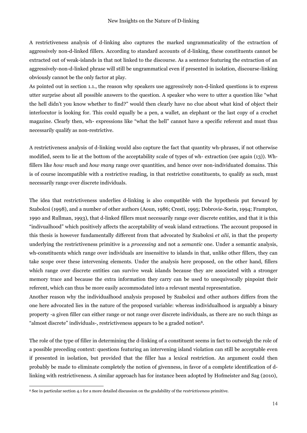A restrictiveness analysis of d-linking also captures the marked ungrammaticality of the extraction of aggressively non-d-linked fillers. According to standard accounts of d-linking, these constituents cannot be extracted out of weak-islands in that not linked to the discourse. As a sentence featuring the extraction of an aggressively-non-d-linked phrase will still be ungrammatical even if presented in isolation, discourse-linking obviously cannot be the only factor at play.

As pointed out in section 1.1., the reason why speakers use aggressively non-d-linked questions is to express utter surprise about all possible answers to the question. A speaker who were to utter a question like "what the hell didn't you know whether to find?" would then clearly have no clue about what kind of object their interlocutor is looking for. This could equally be a pen, a wallet, an elephant or the last copy of a crochet magazine. Clearly then, wh- expressions like "what the hell" cannot have a specific referent and must thus necessarily qualify as non-restrictive.

A restrictiveness analysis of d-linking would also capture the fact that quantity wh-phrases, if not otherwise modified, seem to lie at the bottom of the acceptability scale of types of wh- extraction (see again (13)). Whfillers like *how much* and *how many* range over quantities, and hence over non-individuated domains. This is of course incompatible with a restrictive reading, in that restrictive constituents, to qualify as such, must necessarily range over discrete individuals.

The idea that restrictiveness underlies d-linking is also compatible with the hypothesis put forward by Szabolcsi (1998), and a number of other authors (Aoun, 1986; Cresti, 1995; Dobrovie-Sorin, 1994; Frampton, 1990 and Rullman, 1993), that d-linked fillers must necessarily range over discrete entities, and that it is this "indivualhood" which positively affects the acceptability of weak island extractions. The account proposed in this thesis is however fundamentally different from that advocated by Szabolcsi *et alii*, in that the property underlying the restrictiveness primitive is a *processing* and not a *semantic* one. Under a semantic analysis, wh-constituents which range over individuals are insensitive to islands in that, unlike other fillers, they can take scope over these intervening elements. Under the analysis here proposed, on the other hand, fillers which range over discrete entities can survive weak islands because they are associated with a stronger memory trace and because the extra information they carry can be used to unequivocally pinpoint their referent, which can thus be more easily accommodated into a relevant mental representation.

Another reason why the individualhood analysis proposed by Szabolcsi and other authors differs from the one here advocated lies in the nature of the proposed variable: whereas individualhood is arguably a binary property -a given filler can either range or not range over discrete individuals, as there are no such things as "almost discrete" individuals-, restrictiveness appears to be a graded notion8.

The role of the type of filler in determining the d-linking of a constituent seems in fact to outweigh the role of a possible preceding context: questions featuring an intervening island violation can still be acceptable even if presented in isolation, but provided that the filler has a lexical restriction. An argument could then probably be made to eliminate completely the notion of givenness, in favor of a complete identification of dlinking with restrictiveness. A similar approach has for instance been adopted by Hofmeister and Sag (2010),

 $\ddot{\phantom{a}}$ 

<sup>8</sup> See in particular section 4.1 for a more detailed discussion on the gradability of the *restrictiveness* primitive.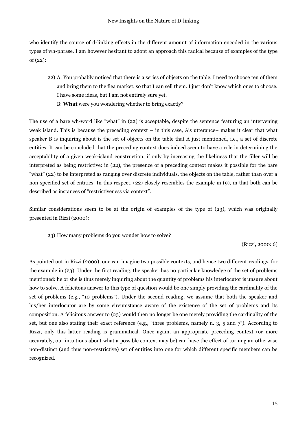who identify the source of d-linking effects in the different amount of information encoded in the various types of wh-phrase. I am however hesitant to adopt an approach this radical because of examples of the type of (22):

- 22) A: You probably noticed that there is a series of objects on the table. I need to choose ten of them and bring them to the flea market, so that I can sell them. I just don't know which ones to choose. I have some ideas, but I am not entirely sure yet.
	- B: **What** were you wondering whether to bring exactly?

The use of a bare wh-word like "what" in (22) is acceptable, despite the sentence featuring an intervening weak island. This is because the preceding context – in this case, A's utterance– makes it clear that what speaker B is inquiring about is the set of objects on the table that A just mentioned, i.e., a set of discrete entities. It can be concluded that the preceding context does indeed seem to have a role in determining the acceptability of a given weak-island construction, if only by increasing the likeliness that the filler will be interpreted as being restrictive: in (22), the presence of a preceding context makes it possible for the bare "what" (22) to be interpreted as ranging over discrete individuals, the objects on the table, rather than over a non-specified set of entities. In this respect, (22) closely resembles the example in (9), in that both can be described as instances of "restrictiveness via context".

Similar considerations seem to be at the origin of examples of the type of (23), which was originally presented in Rizzi (2000):

23) How many problems do you wonder how to solve?

(Rizzi, 2000: 6)

As pointed out in Rizzi (2000), one can imagine two possible contexts, and hence two different readings, for the example in (23). Under the first reading, the speaker has no particular knowledge of the set of problems mentioned: he or she is thus merely inquiring about the quantity of problems his interlocutor is unsure about how to solve. A felicitous answer to this type of question would be one simply providing the cardinality of the set of problems (e.g., "10 problems"). Under the second reading, we assume that both the speaker and his/her interlocutor are by some circumstance aware of the existence of the set of problems and its composition. A felicitous answer to (23) would then no longer be one merely providing the cardinality of the set, but one also stating their exact reference (e.g., "three problems, namely n. 3, 5 and  $7$ "). According to Rizzi, only this latter reading is grammatical. Once again, an appropriate preceding context (or more accurately, our intuitions about what a possible context may be) can have the effect of turning an otherwise non-distinct (and thus non-restrictive) set of entities into one for which different specific members can be recognized.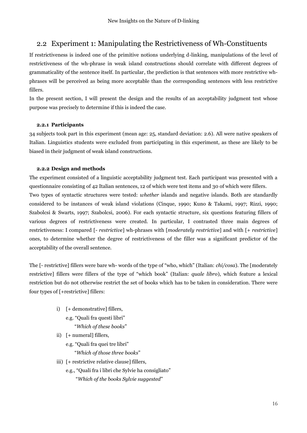### <span id="page-15-0"></span>2.2 Experiment 1: Manipulating the Restrictiveness of Wh-Constituents

If restrictiveness is indeed one of the primitive notions underlying d-linking, manipulations of the level of restrictiveness of the wh-phrase in weak island constructions should correlate with different degrees of grammaticality of the sentence itself. In particular, the prediction is that sentences with more restrictive whphrases will be perceived as being more acceptable than the corresponding sentences with less restrictive fillers.

In the present section, I will present the design and the results of an acceptability judgment test whose purpose was precisely to determine if this is indeed the case.

#### **2.2.1 Participants**

34 subjects took part in this experiment (mean age: 25, standard deviation: 2.6). All were native speakers of Italian. Linguistics students were excluded from participating in this experiment, as these are likely to be biased in their judgment of weak island constructions.

#### **2.2.2 Design and methods**

The experiment consisted of a linguistic acceptability judgment test. Each participant was presented with a questionnaire consisting of 42 Italian sentences, 12 of which were test items and 30 of which were fillers. Two types of syntactic structures were tested: *whether* islands and negative islands. Both are standardly considered to be instances of weak island violations (Cinque, 1990; Kuno & Takami, 1997; Rizzi, 1990; Szabolcsi & Swarts, 1997; Szabolcsi, 2006). For each syntactic structure, six questions featuring fillers of various degrees of restrictiveness were created. In particular, I contrasted three main degrees of restrictiveness: I compared [- *restrictive*] wh-phrases with [*moderately restrictive*] and with [+ *restrictive*] ones, to determine whether the degree of restrictiveness of the filler was a significant predictor of the acceptability of the overall sentence.

The [- restrictive] fillers were bare wh- words of the type of "who, which" (Italian: *chi/cosa*). The [moderately restrictive] fillers were fillers of the type of "which book" (Italian: *quale libro*), which feature a lexical restriction but do not otherwise restrict the set of books which has to be taken in consideration. There were four types of [+restrictive] fillers:

- i) [+ demonstrative] fillers,
	- e.g. "Quali fra questi libri"
		- "*Which of these books*"
- ii) [+ numeral] fillers,
	- e.g. "Quali fra quei tre libri"
		- "*Which of those three books*"
- iii) [+ restrictive relative clause] fillers,
	- e.g., "Quali fra i libri che Sylvie ha consigliato"
		- "*Which of the books Sylvie suggested*"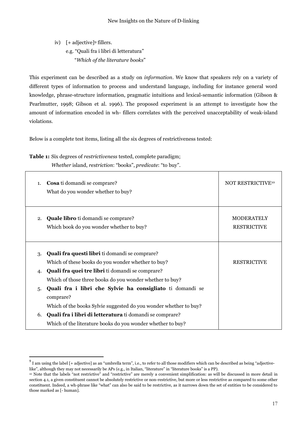iv) [+ adjective] <sup>9</sup> fillers. e.g. "Quali fra i libri di letteratura" "*Which of the literature books*"

This experiment can be described as a study on *information*. We know that speakers rely on a variety of different types of information to process and understand language, including for instance general word knowledge, phrase-structure information, pragmatic intuitions and lexical-semantic information (Gibson & Pearlmutter, 1998; Gibson et al. 1996). The proposed experiment is an attempt to investigate how the amount of information encoded in wh- fillers correlates with the perceived unacceptability of weak-island violations.

Below is a complete test items, listing all the six degrees of restrictiveness tested:

**Table 1:** Six degrees of *restrictiveness* tested, complete paradigm;

 $\overline{a}$ 

*Whether* island, *restriction*: "books", *predicate*: "to buy".

| 1. | Cosa ti domandi se comprare?<br>What do you wonder whether to buy?                                                  | NOT RESTRICTIVE <sup>10</sup>           |
|----|---------------------------------------------------------------------------------------------------------------------|-----------------------------------------|
| 2. | <b>Quale libro</b> ti domandi se comprare?<br>Which book do you wonder whether to buy?                              | <b>MODERATELY</b><br><b>RESTRICTIVE</b> |
| 3. | <b>Quali fra questi libri</b> ti domandi se comprare?<br>Which of these books do you wonder whether to buy?         | <b>RESTRICTIVE</b>                      |
| 4. | <b>Quali fra quei tre libri</b> ti domandi se comprare?<br>Which of those three books do you wonder whether to buy? |                                         |
| 5. | Quali fra i libri che Sylvie ha consigliato ti domandi se<br>comprare?                                              |                                         |
|    | Which of the books Sylvie suggested do you wonder whether to buy?                                                   |                                         |
| 6. | <b>Quali fra i libri di letteratura</b> ti domandi se comprare?                                                     |                                         |
|    | Which of the literature books do you wonder whether to buy?                                                         |                                         |

 $^9$  I am using the label [+ adjective] as an "umbrella term", i.e., to refer to all those modifiers which can be described as being "adjectivelike", although they may not necessarily be APs (e.g., in Italian, "literature" in "literature books" is a PP).

<sup>&</sup>lt;sup>10</sup> Note that the labels "not restrictive" and "restrictive" are merely a convenient simplification: as will be discussed in more detail in section 4.1, a given constituent cannot be absolutely restrictive or non-restrictive, but more or less restrictive as compared to some other constituent. Indeed, a wh-phrase like "what" can also be said to be restrictive, as it narrows down the set of entities to be considered to those marked as [- human].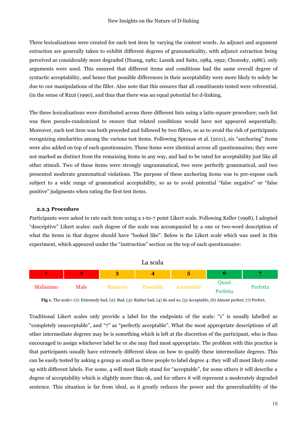Three lexicalizations were created for each test item by varying the content words. As adjunct and argument extraction are generally taken to exhibit different degrees of grammaticality, with adjunct extraction being perceived as considerably more degraded (Huang, 1982; Lasnik and Saito, 1984, 1992; Chomsky, 1986), only arguments were used. This ensured that different items and conditions had the same overall degree of syntactic acceptability, and hence that possible differences in their acceptability were more likely to solely be due to our manipulations of the filler. Also note that this ensures that all constituents tested were referential, (in the sense of Rizzi (1990), and thus that there was an equal potential for d-linking.

The three lexicalizations were distributed across three different lists using a latin-square procedure; each list was then pseudo-randomized to ensure that related conditions would have not appeared sequentially. Moreover, each test item was both preceded and followed by two fillers, so as to avoid the risk of participants recognizing similarities among the various test items. Following Sprouse et al. (2011), six "anchoring" items were also added on top of each questionnaire. These items were identical across all questionnaires; they were not marked as distinct from the remaining items in any way, and had to be rated for acceptability just like all other stimuli. Two of these items were strongly ungrammatical, two were perfectly grammatical, and two presented moderate grammatical violations. The purpose of these anchoring items was to pre-expose each subject to a wide range of grammatical acceptability, so as to avoid potential "false negative" or "false positive" judgments when rating the first test items.

#### **2.2.3 Procedure**

Participants were asked to rate each item using a 1-to-7 point Likert scale. Following Keller (1998), I adopted "descriptive" Likert scales: each degree of the scale was accompanied by a one or two-word description of what the items in that degree should have "looked like". Below is the Likert scale which was used in this experiment, which appeared under the "instruction" section on the top of each questionnaire:



**Fig 1.** The scale= (1): Extremely bad, (2): Bad, (3): Rather bad, (4) So and so, (5) Acceptable, (6) Almost perfect, (7) Perfect.

Traditional Likert scales only provide a label for the endpoints of the scale: "1" is usually labelled as "completely unacceptable", and "7" as "perfectly acceptable". What the most appropriate descriptions of all other intermediate degrees may be is something which is left at the discretion of the participant, who is thus encouraged to assign whichever label he or she may find most appropriate. The problem with this practice is that participants usually have extremely different ideas on how to qualify these intermediate degrees. This can be easily tested by asking a group as small as three people to label degree 4: they will all most likely come up with different labels. For some, 4 will most likely stand for "acceptable", for some others it will describe a degree of acceptability which is slightly more than ok, and for others it will represent a moderately degraded sentence. This situation is far from ideal, as it greatly reduces the power and the generalizability of the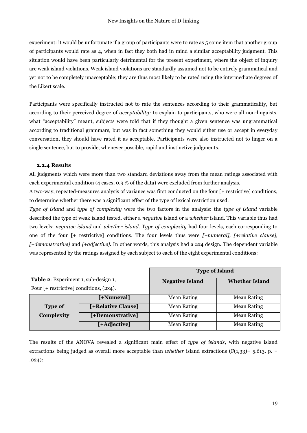experiment: it would be unfortunate if a group of participants were to rate as 5 some item that another group of participants would rate as 4, when in fact they both had in mind a similar acceptability judgment. This situation would have been particularly detrimental for the present experiment, where the object of inquiry are weak island violations. Weak island violations are standardly assumed not to be entirely grammatical and yet not to be completely unacceptable; they are thus most likely to be rated using the intermediate degrees of the Likert scale.

Participants were specifically instructed not to rate the sentences according to their grammaticality, but according to their perceived degree of *acceptability:* to explain to participants, who were all non-linguists, what "acceptability" meant, subjects were told that if they thought a given sentence was ungrammatical according to traditional grammars, but was in fact something they would either use or accept in everyday conversation, they should have rated it as acceptable. Participants were also instructed not to linger on a single sentence, but to provide, whenever possible, rapid and instinctive judgments.

#### **2.2.4 Results**

All judgments which were more than two standard deviations away from the mean ratings associated with each experimental condition (4 cases, 0.9 % of the data) were excluded from further analysis.

A two-way, repeated-measures analysis of variance was first conducted on the four [+ restrictive] conditions, to determine whether there was a significant effect of the type of lexical restriction used.

*Type of island* and *type of complexity* were the two factors in the analysis: the *type of island* variable described the type of weak island tested, either a *negative* island or a *whether* island. This variable thus had two levels: *negative island* and *whether island*. T*ype of complexity* had four levels, each corresponding to one of the four [+ restrictive] conditions. The four levels thus were *[+numeral], [+relative clause], [+demonstrative]* and *[+adjective].* In other words, this analysis had a 2x4 design. The dependent variable was represented by the ratings assigned by each subject to each of the eight experimental conditions:

|                                              |                    | <b>Type of Island</b>  |                       |
|----------------------------------------------|--------------------|------------------------|-----------------------|
| Table 2: Experiment 1, sub-design 1,         |                    | <b>Negative Island</b> | <b>Whether Island</b> |
| Four $[+$ restrictive] conditions, $(2x4)$ . |                    |                        |                       |
|                                              | [+Numeral]         | <b>Mean Rating</b>     | <b>Mean Rating</b>    |
| <b>Type of</b>                               | [+Relative Clause] | <b>Mean Rating</b>     | <b>Mean Rating</b>    |
| Complexity                                   | [+Demonstrative]   | <b>Mean Rating</b>     | <b>Mean Rating</b>    |
|                                              | [+Adjective]       | <b>Mean Rating</b>     | <b>Mean Rating</b>    |

The results of the ANOVA revealed a significant main effect of *type of islands*, with negative island extractions being judged as overall more acceptable than *whether* island extractions (F(1,33)= 5.613, p. = .024):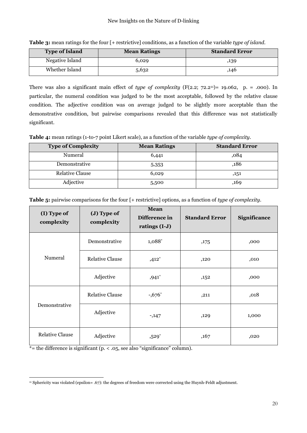| <b>Type of Island</b> | <b>Mean Ratings</b> | <b>Standard Error</b> |
|-----------------------|---------------------|-----------------------|
| Negative Island       | 6,029               | ,139                  |
| Whether Island        | 5,632               | ,146                  |

**Table 3:** mean ratings for the four [+ restrictive] conditions, as a function of the variable *type of island.*

There was also a significant main effect of *type of complexity*  $(F(2.2; 72.2<sup>11</sup>) = 19.062$ , p. = .000). In particular, the numeral condition was judged to be the most acceptable, followed by the relative clause condition. The adjective condition was on average judged to be slightly more acceptable than the demonstrative condition, but pairwise comparisons revealed that this difference was not statistically significant.

**Table 4:** mean ratings (1-to-7 point Likert scale), as a function of the variable *type of complexity.*

| <b>Type of Complexity</b> | <b>Mean Ratings</b> | <b>Standard Error</b> |
|---------------------------|---------------------|-----------------------|
| Numeral                   | 6,441               | ,084                  |
| Demonstrative             | 5,353               | ,186                  |
| <b>Relative Clause</b>    | 6,029               | ,151                  |
| Adjective                 | 5,500               | ,169                  |

| Table 5: pairwise comparisons for the four [+ restrictive] options, as a function of type of complexity. |
|----------------------------------------------------------------------------------------------------------|
|----------------------------------------------------------------------------------------------------------|

| (I) Type of<br>complexity | (J) Type of<br>complexity | <b>Mean</b><br>Difference in<br>ratings (I-J) | <b>Standard Error</b> | Significance |
|---------------------------|---------------------------|-----------------------------------------------|-----------------------|--------------|
|                           | Demonstrative             | 1,088*                                        | ,175                  | ,000         |
| Numeral                   | <b>Relative Clause</b>    | $,412*$                                       | ,120                  | ,010         |
|                           | Adjective                 | $,941*$                                       | ,152                  | ,000         |
|                           | <b>Relative Clause</b>    | $-0.676*$                                     | ,211                  | ,018         |
| Demonstrative             | Adjective                 | $-147$                                        | ,129                  | 1,000        |
| <b>Relative Clause</b>    | Adjective                 | $,529*$                                       | ,167                  | ,020         |

\*= the difference is significant ( $p. < .05$ , see also "significance" column).

 $\overline{a}$ <sup>11</sup> Sphericity was violated (epsilon= .67): the degrees of freedom were corrected using the Huynh-Feldt adjustment.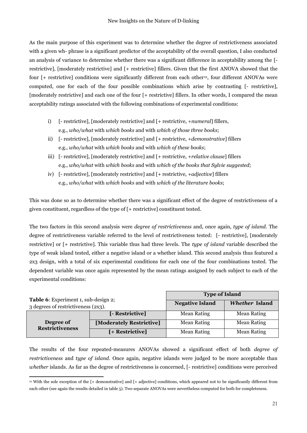As the main purpose of this experiment was to determine whether the degree of restrictiveness associated with a given wh- phrase is a significant predictor of the acceptability of the overall question, I also conducted an analysis of variance to determine whether there was a significant difference in acceptability among the [ restrictive], [moderately restrictive] and [+ restrictive] fillers. Given that the first ANOVA showed that the four [+ restrictive] conditions were significantly different from each other12, four different ANOVAs were computed, one for each of the four possible combinations which arise by contrasting [- restrictive], [moderately restrictive] and each one of the four [+ restrictive] fillers. In other words, I compared the mean acceptability ratings associated with the following combinations of experimental conditions:

- i) [- restrictive], [moderately restrictive] and [+ restrictive, +*numeral*] fillers, e.g., *who/what* with *which books* and with *which of those three books*;
- ii) [- restrictive], [moderately restrictive] and [+ restrictive, +*demonstrative*] fillers e.g., *who/what* with *which books* and with *which of these books*;
- iii) [- restrictive], [moderately restrictive] and [+ restrictive, +*relative clause*] fillers e.g., *who/what* with *which books* and with *which of the books that Sylvie suggested*;
- iv) [- restrictive], [moderately restrictive] and [+ restrictive, +*adjective*] fillers e.g., *who/what* with *which books* and with *which of the literature books*;

This was done so as to determine whether there was a significant effect of the degree of restrictiveness of a given constituent, regardless of the type of [+ restrictive] constituent tested.

The two factors in this second analysis were *degree of restrictiveness* and, once again, *type of island*. The degree of restrictiveness variable referred to the level of restrictiveness tested: [- restrictive], [moderately restrictive] or [+ restrictive]. This variable thus had three levels. The *type of island* variable described the type of weak island tested, either a negative island or a whether island. This second analysis thus featured a 2x3 design, with a total of six experimental conditions for each one of the four combinations tested. The dependent variable was once again represented by the mean ratings assigned by each subject to each of the experimental conditions:

|                                      |                          | <b>Type of Island</b>  |                       |  |
|--------------------------------------|--------------------------|------------------------|-----------------------|--|
| Table 6: Experiment 1, sub-design 2; |                          | <b>Negative Island</b> | <b>Whether Island</b> |  |
| 3 degrees of restrictiveness (2x3).  |                          |                        |                       |  |
|                                      | [- Restrictive]          | <b>Mean Rating</b>     | <b>Mean Rating</b>    |  |
| Degree of<br><b>Restrictiveness</b>  | [Moderately Restrictive] | <b>Mean Rating</b>     | <b>Mean Rating</b>    |  |
|                                      | [+ Restrictive]          | <b>Mean Rating</b>     | <b>Mean Rating</b>    |  |

The results of the four repeated-measures ANOVAs showed a significant effect of both *degree of restrictiveness* and *type of island*. Once again, negative islands were judged to be more acceptable than *whether* islands. As far as the degree of restrictiveness is concerned, [- restrictive] conditions were perceived

 $\overline{a}$ <sup>12</sup> With the sole exception of the [+ demonstrative] and [+ adjective] conditions, which appeared not to be significantly different from each other (see again the results detailed in table 5). Two separate ANOVAs were nevertheless computed for both for completeness.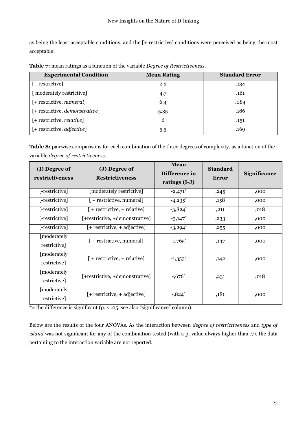as being the least acceptable conditions, and the [+ restrictive] conditions were perceived as being the most acceptable:

| <b>Experimental Condition</b>          | <b>Mean Rating</b> | <b>Standard Error</b> |
|----------------------------------------|--------------------|-----------------------|
| $\lceil$ - restrictive]                | 2.2                | .134                  |
| [ moderately restrictive]              | 4.7                | .161                  |
| $[+$ restrictive, numeral]             | 6.4                | .084                  |
| [+ restrictive, <i>demonstrative</i> ] | 5.35               | .186                  |
| [+ restrictive, <i>relative</i> ]      | b                  | .151                  |
| [+ restrictive, <i>adjective</i> ]     | 5.5                | .169                  |

**Table 7:** mean ratings as a function of the variable *Degree of Restrictiveness.*

**Table 8:** pairwise comparisons for each combination of the three degrees of complexity, as a function of the variable *degree of restrictiveness*.

| (I) Degree of<br>(J) Degree of<br>restrictiveness<br><b>Restrictiveness</b> |                                  | <b>Mean</b><br>Difference in<br>ratings (I-J) | <b>Standard</b><br>Error | <b>Significance</b> |
|-----------------------------------------------------------------------------|----------------------------------|-----------------------------------------------|--------------------------|---------------------|
| [-restrictive]                                                              | [moderately restrictive]         | $-2,471$ *                                    | ,245                     | ,000                |
| [-restrictive]                                                              | $[ +$ restrictive, numeral]      | $-4,235$ *                                    | ,158                     | ,000                |
| [-restrictive]                                                              | $[ +$ restrictive, $+$ relative] | $-3,824$ *                                    | ,211                     | ,018                |
| [-restrictive]                                                              | [+restrictive, +demonstrative]   | $-3,147$ *                                    | ,233                     | ,000                |
| [-restrictive]                                                              | $[+$ restrictive, $+$ adjective] | $-3,294$ *                                    | ,255                     | ,000                |
| [moderately<br>restrictive]                                                 | $[ +$ restrictive, numeral]      | $-1,765$ <sup>*</sup>                         | ,147                     | ,000                |
| [moderately<br>restrictive]                                                 | $[ +$ restrictive, $+$ relative] | $-1,353$ <sup>*</sup>                         | ,142                     | ,000                |
| [moderately<br>restrictive]                                                 | [+restrictive, +demonstrative]   | $-0.676*$                                     | ,231                     | ,018                |
| [moderately<br>restrictive]                                                 | $[+$ restrictive, $+$ adjective] | $-0.824$ *                                    | ,181                     | ,000                |

\*= the difference is significant (p. < .05, see also "significance" column).

Below are the results of the four ANOVAs. As the interaction between *degree of restrictiveness* and *type of island* was not significant for any of the combination tested (with a p. value always higher than .7), the data pertaining to the interaction variable are not reported.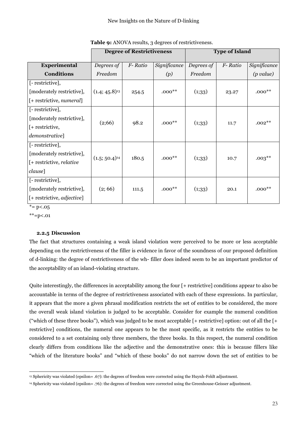|                                      |                    | <b>Degree of Restrictiveness</b> |              |            | <b>Type of Island</b> |              |
|--------------------------------------|--------------------|----------------------------------|--------------|------------|-----------------------|--------------|
| Experimental                         | Degrees of         | F-Ratio                          | Significance | Degrees of | F-Ratio               | Significance |
| <b>Conditions</b>                    | Freedom            |                                  | (p)          | Freedom    |                       | (p value)    |
| [- restrictive],                     |                    |                                  |              |            |                       |              |
| [moderately restrictive],            | $(1.4; 45.8)^{13}$ | 254.5                            | $.000**$     | (1,33)     | 23.27                 | $.000**$     |
| [+ restrictive, numeral]             |                    |                                  |              |            |                       |              |
| [- restrictive],                     |                    |                                  |              |            |                       |              |
| [moderately restrictive],            | (2;66)             |                                  | $.000**$     |            |                       | $.002***$    |
| $[+$ restrictive,                    |                    | 98.2                             |              | (1,33)     | 11.7                  |              |
| demonstrative]                       |                    |                                  |              |            |                       |              |
| [- restrictive],                     |                    |                                  |              |            |                       |              |
| [moderately restrictive],            | $(1.5; 50.4)^{14}$ | 180.5                            | $.000**$     |            |                       | $.003**$     |
| [+ restrictive, <i>relative</i>      |                    |                                  |              | (1,33)     | 10.7                  |              |
| clause]                              |                    |                                  |              |            |                       |              |
| [-restrictive],                      |                    |                                  |              |            |                       |              |
| [moderately restrictive],            | (2; 66)            | 111.5                            | $.000**$     | (1,33)     | 20.1                  | $.000**$     |
| $[+$ restrictive, <i>adjective</i> ] |                    |                                  |              |            |                       |              |

**Table 9:** ANOVA results, 3 degrees of restrictiveness.

 $* = p < .05$ 

\*\*=p<.01

#### **2.2.5 Discussion**

The fact that structures containing a weak island violation were perceived to be more or less acceptable depending on the restrictiveness of the filler is evidence in favor of the soundness of our proposed definition of d-linking: the degree of restrictiveness of the wh- filler does indeed seem to be an important predictor of the acceptability of an island-violating structure.

Quite interestingly, the differences in acceptability among the four [+ restrictive] conditions appear to also be accountable in terms of the degree of restrictiveness associated with each of these expressions. In particular, it appears that the more a given phrasal modification restricts the set of entities to be considered, the more the overall weak island violation is judged to be acceptable. Consider for example the numeral condition ("which of these three books"), which was judged to be most acceptable [+ restrictive] option: out of all the [+ restrictive] conditions, the numeral one appears to be the most specific, as it restricts the entities to be considered to a set containing only three members, the three books. In this respect, the numeral condition clearly differs from conditions like the adjective and the demonstrative ones: this is because fillers like "which of the literature books" and "which of these books" do not narrow down the set of entities to be

 $\ddot{\phantom{a}}$ <sup>13</sup> Sphericity was violated (epsilon= .67): the degrees of freedom were corrected using the Huynh-Feldt adjustment.

<sup>14</sup> Sphericity was violated (epsilon= .76): the degrees of freedom were corrected using the Greenhouse-Geisser adjustment.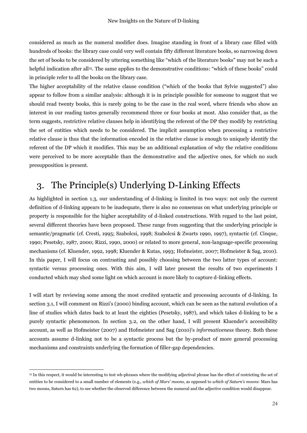considered as much as the numeral modifier does. Imagine standing in front of a library case filled with hundreds of books: the library case could very well contain fifty different literature books, so narrowing down the set of books to be considered by uttering something like "which of the literature books" may not be such a helpful indication after all15. The same applies to the demonstrative conditions: "which of these books" could in principle refer to all the books on the library case.

The higher acceptability of the relative clause condition ("which of the books that Sylvie suggested") also appear to follow from a similar analysis: although it is in principle possible for someone to suggest that we should read twenty books, this is rarely going to be the case in the real word, where friends who show an interest in our reading tastes generally recommend three or four books at most. Also consider that, as the term suggests, restrictive relative clauses help in identifying the referent of the DP they modify by restricting the set of entities which needs to be considered. The implicit assumption when processing a restrictive relative clause is thus that the information encoded in the relative clause is enough to uniquely identify the referent of the DP which it modifies. This may be an additional explanation of why the relative conditions were perceived to be more acceptable than the demonstrative and the adjective ones, for which no such presupposition is present.

## <span id="page-23-0"></span>3. The Principle(s) Underlying D-Linking Effects

As highlighted in section 1.3, our understanding of d-linking is limited in two ways: not only the current definition of d-linking appears to be inadequate, there is also no consensus on what underlying principle or property is responsible for the higher acceptability of d-linked constructions. With regard to the last point, several different theories have been proposed. These range from suggesting that the underlying principle is semantic/pragmatic (cf. Cresti, 1995; Szabolcsi, 1998; Szabolcsi & Zwarts 1990, 1997), syntactic (cf. Cinque, 1990; Pesetsky, 1987, 2000; Rizzi, 1990, 2000) or related to more general, non-language-specific processing mechanisms (cf. Kluender, 1992, 1998; Kluender & Kutas, 1993; Hofmeister, 2007; Hofmeister & Sag, 2010). In this paper, I will focus on contrasting and possibly choosing between the two latter types of account: syntactic versus processing ones. With this aim, I will later present the results of two experiments I conducted which may shed some light on which account is more likely to capture d-linking effects.

I will start by reviewing some among the most credited syntactic and processing accounts of d-linking. In section 3.1, I will comment on Rizzi's (2000) binding account, which can be seen as the natural evolution of a line of studies which dates back to at least the eighties (Pesetsky, 1987), and which takes d-linking to be a purely syntactic phenomenon. In section 3.2, on the other hand, I will present Kluender's accessibility account, as well as Hofmeister (2007) and Hofmeister and Sag (2010)'s *informativeness* theory. Both these accounts assume d-linking not to be a syntactic process but the by-product of more general processing mechanisms and constraints underlying the formation of filler-gap dependencies.

 $\ddot{\phantom{a}}$ 

<sup>15</sup> In this respect, it would be interesting to test wh-phrases where the modifying adjectival phrase has the effect of restricting the set of entities to be considered to a small number of elements (e.g., *which of Mars' moons*, as opposed to *which of Saturn's moons*: Mars has two moons, Saturn has 62), to see whether the observed difference between the numeral and the adjective condition would disappear.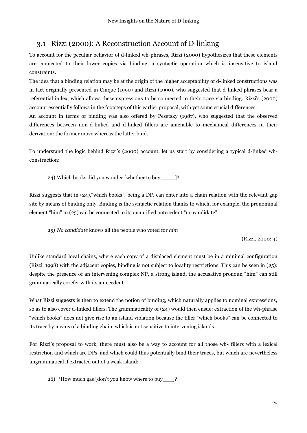### <span id="page-24-0"></span>3.1 Rizzi (2000): A Reconstruction Account of D-linking

To account for the peculiar behavior of d-linked wh-phrases, Rizzi (2000) hypothesizes that these elements are connected to their lower copies via binding, a syntactic operation which is insensitive to island constraints.

The idea that a binding relation may be at the origin of the higher acceptability of d-linked constructions was in fact originally presented in Cinque (1990) and Rizzi (1990), who suggested that d-linked phrases bear a referential index, which allows these expressions to be connected to their trace via binding. Rizzi's (2000) account essentially follows in the footsteps of this earlier proposal, with yet some crucial differences.

An account in terms of binding was also offered by Pesetsky (1987), who suggested that the observed differences between non-d-linked and d-linked fillers are amenable to mechanical differences in their derivation: the former move whereas the latter bind.

To understand the logic behind Rizzi's (2000) account, let us start by considering a typical d-linked whconstruction:

24) Which books did you wonder [whether to buy \_\_\_\_]?

Rizzi suggests that in (24),"which books", being a DP, can enter into a chain relation with the relevant gap site by means of binding only. Binding is the syntactic relation thanks to which, for example, the pronominal element "him" in (25) can be connected to its quantified antecedent "no candidate":

25) *No candidate* knows all the people who voted for *him*

(Rizzi, 2000: 4)

Unlike standard local chains, where each copy of a displaced element must be in a minimal configuration (Rizzi, 1998) with the adjacent copies, binding is not subject to locality restrictions. This can be seen in (25): despite the presence of an intervening complex NP, a strong island, the accusative pronoun "him" can still grammatically corefer with its antecedent.

What Rizzi suggests is then to extend the notion of binding, which naturally applies to nominal expressions, so as to also cover d-linked fillers. The grammaticality of (24) would then ensue: extraction of the wh-phrase "which books" does not give rise to an island violation because the filler "which books" can be connected to its trace by means of a binding chain, which is not sensitive to intervening islands.

For Rizzi's proposal to work, there must also be a way to account for all those wh- fillers with a lexical restriction and which are DPs, and which could thus potentially bind their traces, but which are nevertheless ungrammatical if extracted out of a weak island:

26) \*How much gas [don't you know where to buy\_\_\_]?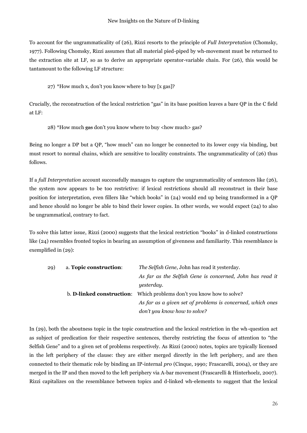To account for the ungrammaticality of (26), Rizzi resorts to the principle of *Full Interpretation* (Chomsky, 1977). Following Chomsky, Rizzi assumes that all material pied-piped by wh-movement must be returned to the extraction site at LF, so as to derive an appropriate operator-variable chain. For (26), this would be tantamount to the following LF structure:

27) \*How much x, don't you know where to buy [x gas]?

Crucially, the reconstruction of the lexical restriction "gas" in its base position leaves a bare QP in the C field at LF:

28) \*How much gas don't you know where to buy <how much> gas?

Being no longer a DP but a QP, "how much" can no longer be connected to its lower copy via binding, but must resort to normal chains, which are sensitive to locality constraints. The ungrammaticality of (26) thus follows.

If a *full Interpretation* account successfully manages to capture the ungrammaticality of sentences like (26), the system now appears to be too restrictive: if lexical restrictions should all reconstruct in their base position for interpretation, even fillers like "which books" in (24) would end up being transformed in a QP and hence should no longer be able to bind their lower copies. In other words, we would expect (24) to also be ungrammatical, contrary to fact.

To solve this latter issue, Rizzi (2000) suggests that the lexical restriction "books" in d-linked constructions like (24) resembles fronted topics in bearing an assumption of givenness and familiarity. This resemblance is exemplified in (29):

| 29) | a. Topic construction:    | The Selfish Gene, John has read it yesterday.              |
|-----|---------------------------|------------------------------------------------------------|
|     |                           | As far as the Selfish Gene is concerned, John has read it  |
|     |                           | yesterday.                                                 |
|     | b. D-linked construction: | Which problems don't you know how to solve?                |
|     |                           | As far as a given set of problems is concerned, which ones |
|     |                           | don't you know how to solve?                               |

In (29), both the aboutness topic in the topic construction and the lexical restriction in the wh-question act as subject of predication for their respective sentences, thereby restricting the focus of attention to "the Selfish Gene" and to a given set of problems respectively. As Rizzi (2000) notes, topics are typically licensed in the left periphery of the clause: they are either merged directly in the left periphery, and are then connected to their thematic role by binding an IP-internal *pro* (Cinque, 1990*;* Frascarelli, 2004), or they are merged in the IP and then moved to the left periphery via A-bar movement (Frascarelli & Hinterhoelz, 2007). Rizzi capitalizes on the resemblance between topics and d-linked wh-elements to suggest that the lexical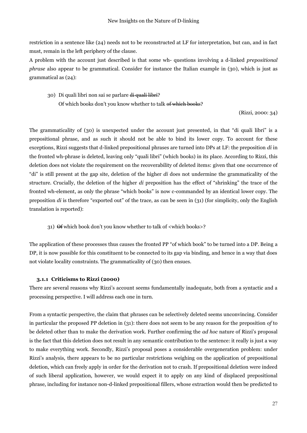restriction in a sentence like (24) needs not to be reconstructed at LF for interpretation, but can, and in fact must, remain in the left periphery of the clause.

A problem with the account just described is that some wh- questions involving a d-linked *prepositional phrase* also appear to be grammatical. Consider for instance the Italian example in (30), which is just as grammatical as (24):

30) Di quali libri non sai se parlare di quali libri? Of which books don't you know whether to talk of which books?

(Rizzi, 2000: 34)

The grammaticality of (30) is unexpected under the account just presented, in that "di quali libri" is a prepositional phrase, and as such it should not be able to bind its lower copy. To account for these exceptions, Rizzi suggests that d-linked prepositional phrases are turned into DPs at LF: the preposition *di* in the fronted wh-phrase is deleted, leaving only "quali libri" (which books) in its place. According to Rizzi, this deletion does not violate the requirement on the recoverability of deleted items: given that one occurrence of "di" is still present at the gap site, deletion of the higher *di* does not undermine the grammaticality of the structure. Crucially, the deletion of the higher *di* preposition has the effect of "shrinking" the trace of the fronted wh-element, as only the phrase "which books" is now c-commanded by an identical lower copy. The preposition *di* is therefore "exported out" of the trace, as can be seen in (31) (for simplicity, only the English translation is reported):

31) Of which book don't you know whether to talk of <which books>?

The application of these processes thus causes the fronted PP "of which book" to be turned into a DP. Being a DP, it is now possible for this constituent to be connected to its gap via binding, and hence in a way that does not violate locality constraints. The grammaticality of (30) then ensues.

#### **3.1.1 Criticisms to Rizzi (2000)**

There are several reasons why Rizzi's account seems fundamentally inadequate, both from a syntactic and a processing perspective. I will address each one in turn.

From a syntactic perspective, the claim that phrases can be selectively deleted seems unconvincing. Consider in particular the proposed PP deletion in (31): there does not seem to be any reason for the preposition *of* to be deleted other than to make the derivation work. Further confirming the *ad hoc* nature of Rizzi's proposal is the fact that this deletion does not result in any semantic contribution to the sentence: it really is just a way to make everything work. Secondly, Rizzi's proposal poses a considerable overgeneration problem: under Rizzi's analysis, there appears to be no particular restrictions weighing on the application of prepositional deletion, which can freely apply in order for the derivation not to crash. If prepositional deletion were indeed of such liberal application, however, we would expect it to apply on any kind of displaced prepositional phrase, including for instance non-d-linked prepositional fillers, whose extraction would then be predicted to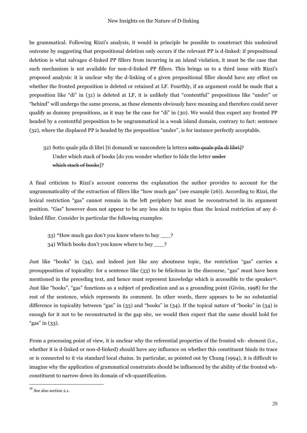be grammatical. Following Rizzi's analysis, it would in principle be possible to counteract this undesired outcome by suggesting that prepositional deletion only occurs if the relevant PP is d-linked: if prepositional deletion is what salvages d-linked PP fillers from incurring in an island violation, it must be the case that such mechanism is not available for non-d-linked PP fillers. This brings us to a third issue with Rizzi's proposed analysis: it is unclear why the d-linking of a given prepositional filler should have any effect on whether the fronted preposition is deleted or retained at LF. Fourthly, if an argument could be made that a preposition like "di" in (31) is deleted at LF, it is unlikely that "contentful" prepositions like "under" or "behind" will undergo the same process, as these elements obviously have meaning and therefore could never qualify as dummy prepositions, as it may be the case for "di" in (30). We would thus expect any fronted PP headed by a contentful preposition to be ungrammatical in a weak island domain, contrary to fact: sentence (32), where the displaced PP is headed by the preposition "under", is for instance perfectly acceptable.

32) Sotto quale pila di libri [ti domandi se nascondere la lettera sotto quale pila di libri]? Under which stack of books [do you wonder whether to hide the letter under which stack of books]?

A final criticism to Rizzi's account concerns the explanation the author provides to account for the ungrammaticality of the extraction of fillers like "how much gas" (see example (26)). According to Rizzi, the lexical restriction "gas" cannot remain in the left periphery but must be reconstructed in its argument position. "Gas" however does not appear to be any less akin to topics than the lexical restriction of any dlinked filler. Consider in particular the following examples:

- 33) \*How much gas don't you know where to buy \_\_\_?
- 34) Which books don't you know where to buy \_\_\_?

Just like "books" in (34), and indeed just like any aboutness topic, the restriction "gas" carries a presupposition of topicality: for a sentence like (33) to be felicitous in the discourse, "gas" must have been mentioned in the preceding text, and hence must represent knowledge which is accessible to the speaker16. Just like "books", "gas" functions as a subject of predication and as a grounding point (Givòn, 1998) for the rest of the sentence, which represents its comment. In other words, there appears to be no substantial difference in topicality between "gas" in (33) and "books" in (34). If the topical nature of "books" in (34) is enough for it not to be reconstructed in the gap site, we would then expect that the same should hold for "gas" in (33).

From a processing point of view, it is unclear why the referential properties of the fronted wh- element (i.e., whether it is d-linked or non-d-linked) should have any influence on whether this constituent binds its trace or is connected to it via standard local chains. In particular, as pointed out by Chung (1994), it is difficult to imagine why the application of grammatical constraints should be influenced by the ability of the fronted whconstituent to narrow down its domain of wh-quantification.

 $\overline{a}$ 

 $16$  See also section 2.1.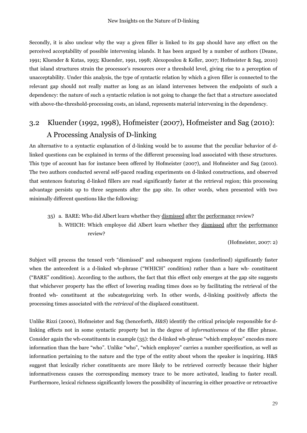Secondly, it is also unclear why the way a given filler is linked to its gap should have any effect on the perceived acceptability of possible intervening islands. It has been argued by a number of authors (Deane, 1991; Kluender & Kutas, 1993; Kluender, 1991, 1998; Alexopoulou & Keller, 2007; Hofmeister & Sag, 2010) that island structures strain the processor's resources over a threshold level, giving rise to a perception of unacceptability. Under this analysis, the type of syntactic relation by which a given filler is connected to the relevant gap should not really matter as long as an island intervenes between the endpoints of such a dependency: the nature of such a syntactic relation is not going to change the fact that a structure associated with above-the-threshold-processing costs, an island, represents material intervening in the dependency.

## <span id="page-28-0"></span>3.2 Kluender (1992, 1998), Hofmeister (2007), Hofmeister and Sag (2010): A A Processing Analysis of D-linking

An alternative to a syntactic explanation of d-linking would be to assume that the peculiar behavior of dlinked questions can be explained in terms of the different processing load associated with these structures. This type of account has for instance been offered by Hofmeister (2007), and Hofmeister and Sag (2010). The two authors conducted several self-paced reading experiments on d-linked constructions, and observed that sentences featuring d-linked fillers are read significantly faster at the retrieval region; this processing advantage persists up to three segments after the gap site. In other words, when presented with two minimally different questions like the following:

35) a. BARE: Who did Albert learn whether they dismissed after the performance review? b. WHICH: Which employee did Albert learn whether they dismissed after the performance review?

(Hofmeister, 2007: 2)

Subject will process the tensed verb "dismissed" and subsequent regions (underlined) significantly faster when the antecedent is a d-linked wh-phrase ("WHICH" condition) rather than a bare wh- constituent ("BARE" condition). According to the authors, the fact that this effect only emerges at the gap site suggests that whichever property has the effect of lowering reading times does so by facilitating the retrieval of the fronted wh- constituent at the subcategorizing verb. In other words, d-linking positively affects the processing times associated with the *retrieval* of the displaced constituent.

Unlike Rizzi (2000), Hofmeister and Sag (henceforth, *H&S*) identify the critical principle responsible for dlinking effects not in some syntactic property but in the degree of *informativeness* of the filler phrase. Consider again the wh-constituents in example (35): the d-linked wh-phrase "which employee" encodes more information than the bare "who". Unlike "who", "which employee" carries a number specification, as well as information pertaining to the nature and the type of the entity about whom the speaker is inquiring. H&S suggest that lexically richer constituents are more likely to be retrieved correctly because their higher informativeness causes the corresponding memory trace to be more activated, leading to faster recall. Furthermore, lexical richness significantly lowers the possibility of incurring in either proactive or retroactive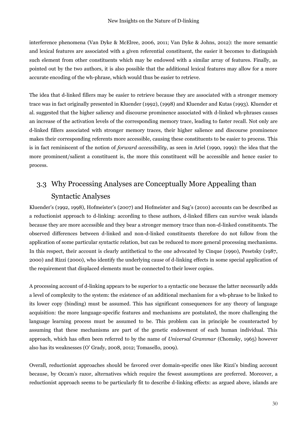interference phenomena (Van Dyke & McElree, 2006, 2011; Van Dyke & Johns, 2012): the more semantic and lexical features are associated with a given referential constituent, the easier it becomes to distinguish such element from other constituents which may be endowed with a similar array of features. Finally, as pointed out by the two authors, it is also possible that the additional lexical features may allow for a more accurate encoding of the wh-phrase, which would thus be easier to retrieve.

The idea that d-linked fillers may be easier to retrieve because they are associated with a stronger memory trace was in fact originally presented in Kluender (1992), (1998) and Kluender and Kutas (1993). Kluender et al. suggested that the higher saliency and discourse prominence associated with d-linked wh-phrases causes an increase of the activation levels of the corresponding memory trace, leading to faster recall. Not only are d-linked fillers associated with stronger memory traces, their higher salience and discourse prominence makes their corresponding referents more accessible, causing these constituents to be easier to process. This is in fact reminiscent of the notion of *forward accessibility*, as seen in Ariel (1990, 1999): the idea that the more prominent/salient a constituent is, the more this constituent will be accessible and hence easier to process.

## <span id="page-29-0"></span>3.3 Why Processing Analyses are Conceptually More Appealing than Syntactic Analyses

Kluender's (1992, 1998), Hofmeister's (2007) and Hofmeister and Sag's (2010) accounts can be described as a reductionist approach to d-linking: according to these authors, d-linked fillers can survive weak islands because they are more accessible and they bear a stronger memory trace than non-d-linked constituents. The observed differences between d-linked and non-d-linked constituents therefore do not follow from the application of some particular syntactic relation, but can be reduced to more general processing mechanisms. In this respect, their account is clearly antithetical to the one advocated by Cinque (1990), Pesetsky (1987, 2000) and Rizzi (2000), who identify the underlying cause of d-linking effects in some special application of the requirement that displaced elements must be connected to their lower copies.

A processing account of d-linking appears to be superior to a syntactic one because the latter necessarily adds a level of complexity to the system: the existence of an additional mechanism for a wh-phrase to be linked to its lower copy (binding) must be assumed. This has significant consequences for any theory of language acquisition: the more language-specific features and mechanisms are postulated, the more challenging the language learning process must be assumed to be. This problem can in principle be counteracted by assuming that these mechanisms are part of the genetic endowment of each human individual. This approach, which has often been referred to by the name of *Universal Grammar* (Chomsky, 1965) however also has its weaknesses (O' Grady, 2008, 2012; Tomasello, 2009).

Overall, reductionist approaches should be favored over domain-specific ones like Rizzi's binding account because, by Occam's razor, alternatives which require the fewest assumptions are preferred. Moreover, a reductionist approach seems to be particularly fit to describe d-linking effects: as argued above, islands are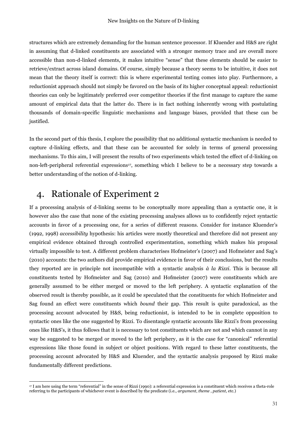structures which are extremely demanding for the human sentence processor. If Kluender and H&S are right in assuming that d-linked constituents are associated with a stronger memory trace and are overall more accessible than non-d-linked elements, it makes intuitive "sense" that these elements should be easier to retrieve/extract across island domains. Of course, simply because a theory seems to be intuitive, it does not mean that the theory itself is correct: this is where experimental testing comes into play. Furthermore, a reductionist approach should not simply be favored on the basis of its higher conceptual appeal: reductionist theories can only be legitimately preferred over competitor theories if the first manage to capture the same amount of empirical data that the latter do. There is in fact nothing inherently wrong with postulating thousands of domain-specific linguistic mechanisms and language biases, provided that these can be justified.

In the second part of this thesis, I explore the possibility that no additional syntactic mechanism is needed to capture d-linking effects, and that these can be accounted for solely in terms of general processing mechanisms. To this aim, I will present the results of two experiments which tested the effect of d-linking on non-left-peripheral referential expressions<sup>17</sup>, something which I believe to be a necessary step towards a better understanding of the notion of d-linking.

## <span id="page-30-0"></span>4. Rationale of Experiment 2

If a processing analysis of d-linking seems to be conceptually more appealing than a syntactic one, it is however also the case that none of the existing processing analyses allows us to confidently reject syntactic accounts in favor of a processing one, for a series of different reasons. Consider for instance Kluender's (1992, 1998) *accessibility* hypothesis: his articles were mostly theoretical and therefore did not present any empirical evidence obtained through controlled experimentation, something which makes his proposal virtually impossible to test. A different problem characterises Hofmeister's (2007) and Hofmeister and Sag's (2010) accounts: the two authors did provide empirical evidence in favor of their conclusions, but the results they reported are in principle not incompatible with a syntactic analysis *à la Rizzi*. This is because all constituents tested by Hofmeister and Sag (2010) and Hofmeister (2007) were constituents which are generally assumed to be either merged or moved to the left periphery. A syntactic explanation of the observed result is thereby possible, as it could be speculated that the constituents for which Hofmeister and Sag found an effect were constituents which *bound* their gap. This result is quite paradoxical, as the processing account advocated by H&S, being reductionist, is intended to be in complete opposition to syntactic ones like the one suggested by Rizzi. To disentangle syntactic accounts like Rizzi's from processing ones like H&S's, it thus follows that it is necessary to test constituents which are not and which cannot in any way be suggested to be merged or moved to the left periphery, as it is the case for "canonical" referential expressions like those found in subject or object positions. With regard to these latter constituents, the processing account advocated by H&S and Kluender, and the syntactic analysis proposed by Rizzi make fundamentally different predictions.

 $\overline{a}$ <sup>17</sup> I am here using the term "referential" in the sense of Rizzi (1990): a referential expression is a constituent which receives a theta-role referring to the participants of whichever event is described by the predicate (i.e., *argument*, *theme* , *patient*, etc.)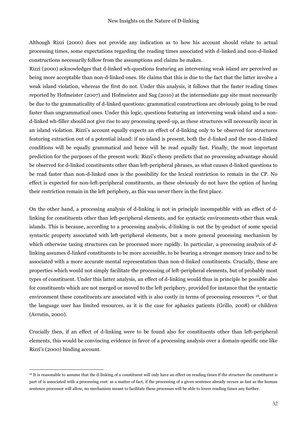Although Rizzi (2000) does not provide any indication as to how his account should relate to actual processing times, some expectations regarding the reading times associated with d-linked and non-d-linked constructions necessarily follow from the assumptions and claims he makes.

Rizzi (2000) acknowledges that d-linked wh-questions featuring an intervening weak island are perceived as being more acceptable than non-d-linked ones. He claims that this is due to the fact that the latter involve a weak island violation, whereas the first do not. Under this analysis, it follows that the faster reading times reported by Hofmeister (2007) and Hofmeister and Sag (2010) at the intermediate gap site must necessarily be due to the grammaticality of d-linked questions: grammatical constructions are obviously going to be read faster than ungrammatical ones. Under this logic, questions featuring an intervening weak island and a nond-linked wh-filler should not give rise to any processing speed-up, as these structures will necessarily incur in an island violation. Rizzi's account equally expects an effect of d-linking only to be observed for structures featuring extraction out of a potential island: if no island is present, both the d-linked and the non-d-linked conditions will be equally grammatical and hence will be read equally fast. Finally, the most important prediction for the purposes of the present work: Rizzi's theory predicts that no processing advantage should be observed for d-linked constituents other than left-peripheral phrases, as what causes d-linked questions to be read faster than non-d-linked ones is the possibility for the lexical restriction to remain in the CP. No effect is expected for non-left-peripheral constituents, as these obviously do not have the option of having their restriction remain in the left periphery, as this was never there in the first place.

On the other hand, a processing analysis of d-linking is not in principle incompatible with an effect of dlinking for constituents other than left-peripheral elements, and for syntactic environments other than weak islands. This is because, according to a processing analysis, d-linking is not the by-product of some special syntactic property associated with left-peripheral elements, but a more general processing mechanism by which otherwise taxing structures can be processed more rapidly. In particular, a processing analysis of dlinking assumes d-linked constituents to be more accessible, to be bearing a stronger memory trace and to be associated with a more accurate mental representation than non-d-linked constituents. Crucially, these are properties which would not simply facilitate the processing of left-peripheral elements, but of probably most types of constituent. Under this latter analysis, an effect of d-linking would thus in principle be possible also for constituents which are not merged or moved to the left periphery, provided for instance that the syntactic environment these constituents are associated with is also costly in terms of processing resources <sup>18</sup>, or that the language user has limited resources, as it is the case for aphasics patients (Grillo, 2008) or children (Avrutin, 2000).

Crucially then, if an effect of d-linking were to be found also for constituents other than left-peripheral elements, this would be convincing evidence in favor of a processing analysis over a domain-specific one like Rizzi's (2000) binding account.

 $\overline{a}$ 

<sup>&</sup>lt;sup>18</sup> It is reasonable to assume that the d-linking of a constituent will only have an effect on reading times if the structure the constituent is part of is associated with a processing cost: as a matter of fact, if the processing of a given sentence already occurs as fast as the human sentence processor will allow, no mechanism meant to facilitate these processes will be able to lower reading times any further.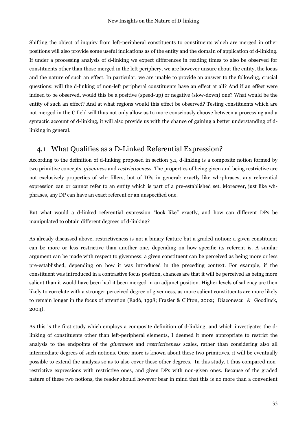Shifting the object of inquiry from left-peripheral constituents to constituents which are merged in other positions will also provide some useful indications as of the entity and the domain of application of d-linking. If under a processing analysis of d-linking we expect differences in reading times to also be observed for constituents other than those merged in the left periphery, we are however unsure about the entity, the locus and the nature of such an effect. In particular, we are unable to provide an answer to the following, crucial questions: will the d-linking of non-left peripheral constituents have an effect at all? And if an effect were indeed to be observed, would this be a positive (speed-up) or negative (slow-down) one? What would be the entity of such an effect? And at what regions would this effect be observed? Testing constituents which are not merged in the C field will thus not only allow us to more consciously choose between a processing and a syntactic account of d-linking, it will also provide us with the chance of gaining a better understanding of dlinking in general.

### <span id="page-32-0"></span>4.1 What Qualifies as a D-Linked Referential Expression?

According to the definition of d-linking proposed in section 3.1, d-linking is a composite notion formed by two primitive concepts, *givenness* and *restrictiveness*. The properties of being given and being restrictive are not exclusively properties of wh- fillers, but of DPs in general: exactly like wh-phrases, any referential expression can or cannot refer to an entity which is part of a pre-established set. Moreover, just like whphrases, any DP can have an exact referent or an unspecified one.

But what would a d-linked referential expression "look like" exactly, and how can different DPs be manipulated to obtain different degrees of d-linking?

As already discussed above, restrictiveness is not a binary feature but a graded notion: a given constituent can be more or less restrictive than another one, depending on how specific its referent is. A similar argument can be made with respect to givenness: a given constituent can be perceived as being more or less pre-established, depending on how it was introduced in the preceding context. For example, if the constituent was introduced in a contrastive focus position, chances are that it will be perceived as being more salient than it would have been had it been merged in an adjunct position. Higher levels of saliency are then likely to correlate with a stronger perceived degree of givenness, as more salient constituents are more likely to remain longer in the focus of attention (Radó, 1998; Frazier & Clifton, 2002; Diaconescu & Goodluck, 2004).

As this is the first study which employs a composite definition of d-linking, and which investigates the dlinking of constituents other than left-peripheral elements, I deemed it more appropriate to restrict the analysis to the endpoints of the *givenness* and *restrictiveness* scales, rather than considering also all intermediate degrees of such notions. Once more is known about these two primitives, it will be eventually possible to extend the analysis so as to also cover these other degrees. In this study, I thus compared nonrestrictive expressions with restrictive ones, and given DPs with non-given ones. Because of the graded nature of these two notions, the reader should however bear in mind that this is no more than a convenient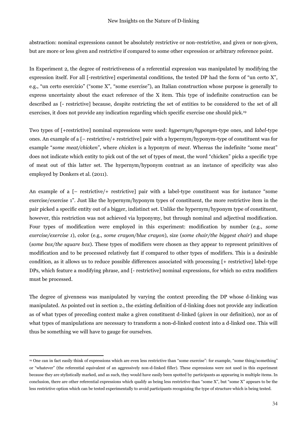abstraction: nominal expressions cannot be absolutely restrictive or non-restrictive, and given or non-given, but are more or less given and restrictive if compared to some other expression or arbitrary reference point.

In Experiment 2, the degree of restrictiveness of a referential expression was manipulated by modifying the expression itself. For all [-restrictive] experimental conditions, the tested DP had the form of "un certo X", e.g., "un certo esercizio" ("some X", "some exercise"), an Italian construction whose purpose is generally to express uncertainty about the exact reference of the X item. This type of indefinite construction can be described as [- restrictive] because, despite restricting the set of entities to be considered to the set of all exercises, it does not provide any indication regarding which specific exercise one should pick.<sup>19</sup>

Two types of [+restrictive] nominal expressions were used: *hypernym/hyponym*-type ones, and *label-*type ones. An example of a [– restrictive/+ restrictive] pair with a hypernym/hyponym-type of constituent was for example "*some meat/chicken*", where *chicken* is a hyponym of *meat*. Whereas the indefinite "some meat" does not indicate which entity to pick out of the set of types of meat, the word "chicken" picks a specific type of meat out of this latter set. The hypernym/hyponym contrast as an instance of specificity was also employed by Donkers et al. (2011).

An example of a [– restrictive/+ restrictive] pair with a label-type constituent was for instance "some exercise/exercise 1". Just like the hypernym/hyponym types of constituent, the more restrictive item in the pair picked a specific entity out of a bigger, indistinct set. Unlike the hypernym/hyponym type of constituent, however, this restriction was not achieved via hyponymy, but through nominal and adjectival modification. Four types of modification were employed in this experiment: modification by number (e.g., *some exercise/exercise 1*), color (e.g., *some crayon/blue crayon*), size (*some chair/the biggest chair*) and shape (*some box/the square box*). These types of modifiers were chosen as they appear to represent primitives of modification and to be processed relatively fast if compared to other types of modifiers. This is a desirable condition, as it allows us to reduce possible differences associated with processing [+ restrictive] label-type DPs, which feature a modifying phrase, and [- restrictive] nominal expressions, for which no extra modifiers must be processed.

The degree of givenness was manipulated by varying the context preceding the DP whose d-linking was manipulated. As pointed out in section 2., the existing definition of d-linking does not provide any indication as of what types of preceding context make a given constituent d-linked (*given* in our definition), nor as of what types of manipulations are necessary to transform a non-d-linked context into a d-linked one. This will thus be something we will have to gauge for ourselves.

 $\overline{a}$ 

<sup>19</sup> One can in fact easily think of expressions which are even less restrictive than "some exercise": for example, "some thing/something" or "whatever" (the referential equivalent of an aggressively non-d-linked filler). These expressions were not used in this experiment because they are stylistically marked, and as such, they would have easily been spotted by participants as appearing in multiple items. In conclusion, there are other referential expressions which qualify as being less restrictive than "some X", but "some X" appears to be the less restrictive option which can be tested experimentally to avoid participants recognizing the type of structure which is being tested.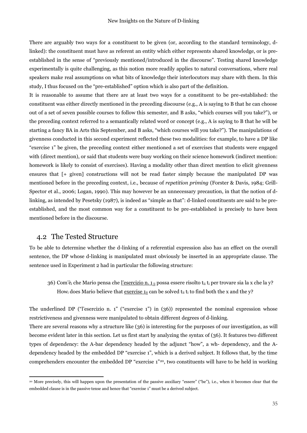There are arguably two ways for a constituent to be given (or, according to the standard terminology, dlinked): the constituent must have as referent an entity which either represents shared knowledge, or is preestablished in the sense of "previously mentioned/introduced in the discourse". Testing shared knowledge experimentally is quite challenging, as this notion more readily applies to natural conversations, where real speakers make real assumptions on what bits of knowledge their interlocutors may share with them. In this study, I thus focused on the "pre-established" option which is also part of the definition.

It is reasonable to assume that there are at least two ways for a constituent to be pre-established: the constituent was either directly mentioned in the preceding discourse (e.g., A is saying to B that he can choose out of a set of seven possible courses to follow this semester, and B asks, "which courses will you take?"), or the preceding context referred to a semantically related word or concept (e.g., A is saying to B that he will be starting a fancy BA in Arts this September, and B asks, "which courses will you take?"). The manipulations of givenness conducted in this second experiment reflected these two modalities: for example, to have a DP like "exercise 1" be given, the preceding context either mentioned a set of exercises that students were engaged with (direct mention), or said that students were busy working on their science homework (indirect mention: homework is likely to consist of exercises). Having a modality other than direct mention to elicit givenness ensures that [+ given] constructions will not be read faster simply because the manipulated DP was mentioned before in the preceding context, i.e., because of *repetition priming* (Forster & Davis, 1984; Grill-Spector et al., 2006; Logan, 1990). This may however be an unnecessary precaution, in that the notion of dlinking, as intended by Pesetsky (1987), is indeed as "simple as that": d-linked constituents are said to be preestablished, and the most common way for a constituent to be pre-established is precisely to have been mentioned before in the discourse.

### <span id="page-34-0"></span>4.2 The Tested Structure

 $\overline{a}$ 

To be able to determine whether the d-linking of a referential expression also has an effect on the overall sentence, the DP whose d-linking is manipulated must obviously be inserted in an appropriate clause. The sentence used in Experiment 2 had in particular the following structure:

36) Com'è<sub>i</sub> che Mario pensa che <u>l'esercizio n. 1</u> ii possa essere risolto t<sub>ii</sub> t<sub>i</sub> per trovare sia la x che la y? How<sub>i</sub> does Mario believe that exercise  $\mathbf{1}_{ii}$  can be solved  $\mathbf{t}_{ii}$  t<sub>i</sub> to find both the x and the y?

The underlined DP ("l'esercizio n. 1" ("exercise 1") in (36)) represented the nominal expression whose restrictiveness and givenness were manipulated to obtain different degrees of d-linking.

There are several reasons why a structure like (36) is interesting for the purposes of our investigation, as will become evident later in this section. Let us first start by analyzing the syntax of (36). It features two different types of dependency: the A-bar dependency headed by the adjunct "how", a wh- dependency, and the Adependency headed by the embedded DP "exercise 1", which is a derived subject. It follows that, by the time comprehenders encounter the embedded DP "exercise 1"20, two constituents will have to be held in working

<sup>20</sup> More precisely, this will happen upon the presentation of the passive auxiliary "essere" ("be"), i.e., when it becomes clear that the embedded clause is in the passive tense and hence that "exercise 1" must be a derived subject.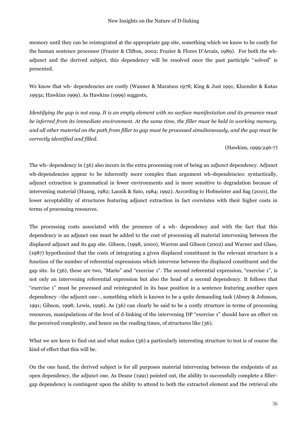memory until they can be reintegrated at the appropriate gap site, something which we know to be costly for the human sentence processor (Frazier & Clifton, 2002; Frazier & Flores D'Arcais, 1989). For both the whadjunct and the derived subject, this dependency will be resolved once the past participle "solved" is presented.

We know that wh- dependencies are costly (Wanner & Maratsos 1978; King & Just 1991; Kluender & Kutas 1993a; Hawkins 1999). As Hawkins (1999) suggests,

*Identifying the gap is not easy. It is an empty element with no surface manifestation and its presence must be inferred from its immediate environment. At the same time, the filler must be held in working memory, and all other material on the path from filler to gap must be processed simultaneously, and the gap must be correctly identified and filled.*

(Hawkins, 1999:246-7)

The wh- dependency in (36) also incurs in the extra processing cost of being an *adjunct* dependency. Adjunct wh-dependencies appear to be inherently more complex than argument wh-dependencies: syntactically, adjunct extraction is grammatical in fewer environments and is more sensitive to degradation because of intervening material (Huang, 1982; Lasnik & Sato, 1984; 1992). According to Hofmeister and Sag (2010), the lower acceptability of structures featuring adjunct extraction in fact correlates with their higher costs in terms of processing resources.

The processing costs associated with the presence of a wh- dependency and with the fact that this dependency is an adjunct one must be added to the cost of processing all material intervening between the displaced adjunct and its gap site. Gibson, (1998, 2000), Warren and Gibson (2002) and Warner and Glass, (1987) hypothesized that the costs of integrating a given displaced constituent in the relevant structure is a function of the number of referential expressions which intervene between the displaced constituent and the gap site. In (36), these are two, "Mario" and "exercise 1". The second referential expression, "exercise 1", is not only an intervening referential expression but also the head of a second dependency. It follows that "exercise 1" must be processed and reintegrated in its base position in a sentence featuring another open dependency –the adjunct one–, something which is known to be a quite demanding task (Abney & Johnson, 1991; Gibson, 1998; Lewis, 1996). As (36) can clearly be said to be a costly structure in terms of processing resources, manipulations of the level of d-linking of the intervening DP "exercise 1" should have an effect on the perceived complexity, and hence on the reading times, of structures like (36).

What we are keen to find out and what makes (36) a particularly interesting structure to test is of course the kind of effect that this will be.

On the one hand, the derived subject is for all purposes material intervening between the endpoints of an open dependency, the adjunct one. As Deane (1991) pointed out, the ability to successfully complete a fillergap dependency is contingent upon the ability to attend to both the extracted element and the retrieval site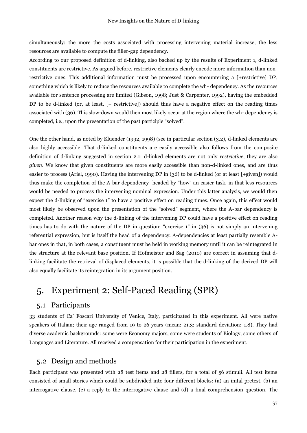simultaneously: the more the costs associated with processing intervening material increase, the less resources are available to compute the filler-gap dependency.

According to our proposed definition of d-linking, also backed up by the results of Experiment 1, d-linked constituents are restrictive. As argued before, restrictive elements clearly encode more information than nonrestrictive ones. This additional information must be processed upon encountering a [+restrictive] DP, something which is likely to reduce the resources available to complete the wh- dependency. As the resources available for sentence processing are limited (Gibson, 1998; Just & Carpenter, 1992), having the embedded DP to be d-linked (or, at least, [+ restrictive]) should thus have a negative effect on the reading times associated with (36). This slow-down would then most likely occur at the region where the wh- dependency is completed, i.e., upon the presentation of the past participle "solved".

One the other hand, as noted by Kluender (1992, 1998) (see in particular section (3.2), d-linked elements are also highly accessible. That d-linked constituents are easily accessible also follows from the composite definition of d-linking suggested in section 2.1: d-linked elements are not only *restrictive*, they are also *given*. We know that given constituents are more easily accessible than non-d-linked ones, and are thus easier to process (Ariel, 1990). Having the intervening DP in (36) to be d-linked (or at least [+given]) would thus make the completion of the A-bar dependency headed by "how" an easier task, in that less resources would be needed to process the intervening nominal expression. Under this latter analysis, we would then expect the d-linking of "exercise 1" to have a positive effect on reading times. Once again, this effect would most likely be observed upon the presentation of the "solved" segment, where the A-bar dependency is completed. Another reason why the d-linking of the intervening DP could have a positive effect on reading times has to do with the nature of the DP in question: "exercise 1" in (36) is not simply an intervening referential expression, but is itself the head of a dependency. A-dependencies at least partially resemble Abar ones in that, in both cases, a constituent must be held in working memory until it can be reintegrated in the structure at the relevant base position. If Hofmeister and Sag (2010) are correct in assuming that dlinking facilitate the retrieval of displaced elements, it is possible that the d-linking of the derived DP will also equally facilitate its reintegration in its argument position.

## <span id="page-36-0"></span>5. Experiment 2: Self-Paced Reading (SPR)

### <span id="page-36-1"></span>5.1 Participants

33 students of Ca' Foscari University of Venice, Italy, participated in this experiment. All were native speakers of Italian; their age ranged from 19 to 26 years (mean: 21.3; standard deviation: 1.8). They had diverse academic backgrounds: some were Economy majors, some were students of Biology, some others of Languages and Literature. All received a compensation for their participation in the experiment.

#### <span id="page-36-2"></span>5.2 Design and methods

Each participant was presented with 28 test items and 28 fillers, for a total of 56 stimuli. All test items consisted of small stories which could be subdivided into four different blocks: (a) an inital pretest, (b) an interrogative clause, (c) a reply to the interrogative clause and (d) a final comprehension question. The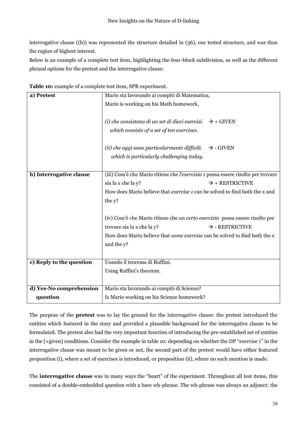interrogative clause ((b)) was represented the structure detailed in (36), our tested structure, and was thus the region of highest interest.

Below is an example of a complete test item, highlighting the four-block subdivision, as well as the different phrasal options for the pretest and the interrogative clause:

| a) Pretest               | Mario sta lavorando ai compiti di Matematica,                                      |                             |  |
|--------------------------|------------------------------------------------------------------------------------|-----------------------------|--|
|                          | Mario is working on his Math homework,                                             |                             |  |
|                          |                                                                                    |                             |  |
|                          |                                                                                    |                             |  |
|                          | (i) che consistono di un set di dieci esercizi. $\rightarrow$ + GIVEN              |                             |  |
|                          | which consists of a set of ten exercises.                                          |                             |  |
|                          |                                                                                    |                             |  |
|                          | (ii) che oggi sono particolarmente difficili.                                      | $\rightarrow$ - GIVEN       |  |
|                          | which is particularly challenging today.                                           |                             |  |
|                          |                                                                                    |                             |  |
| b) Interrogative clause  | (iii) Com'è che Mario ritiene che l'esercizio 1 possa essere risolto per trovare   |                             |  |
|                          | sia la x che la y?                                                                 | $\rightarrow$ + RESTRICTIVE |  |
|                          | How does Mario believe that <i>exercise</i> 1 can be solved to find both the x and |                             |  |
|                          |                                                                                    |                             |  |
|                          | the y?                                                                             |                             |  |
|                          |                                                                                    |                             |  |
|                          | (iv) Com'è che Mario ritiene che un certo esercizio possa essere risolto per       |                             |  |
|                          | trovare sia la x che la y?                                                         | $\rightarrow$ - RESTRICTIVE |  |
|                          | How does Mario believe that <i>some exercise</i> can be solved to find both the x  |                             |  |
|                          |                                                                                    |                             |  |
|                          | and the y?                                                                         |                             |  |
|                          |                                                                                    |                             |  |
| c) Reply to the question | Usando il teorema di Ruffini.                                                      |                             |  |
|                          | Using Ruffini's theorem.                                                           |                             |  |
|                          |                                                                                    |                             |  |
| d) Yes-No comprehension  | Mario sta lavorando ai compiti di Scienze?                                         |                             |  |
|                          |                                                                                    |                             |  |
| question                 | Is Mario working on his Science homework?                                          |                             |  |

**Table 10:** example of a complete test item, SPR experiment.

The purpose of the **pretest** was to lay the ground for the interrogative clause: the pretest introduced the entities which featured in the story and provided a plausible background for the interrogative clause to be formulated. The pretest also had the very important function of introducing the pre-established set of entities in the [+given] conditions. Consider the example in table 10: depending on whether the DP "exercise 1" in the interrogative clause was meant to be given or not, the second part of the pretest would have either featured proposition (i), where a set of exercises is introduced, or proposition (ii), where no such mention is made.

The **interrogative clause** was in many ways the "heart" of the experiment. Throughout all test items, this consisted of a double-embedded question with a bare wh-phrase. The wh-phrase was always an adjunct: the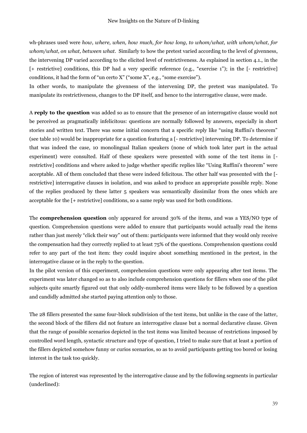wh-phrases used were *how, where, when, how much, for how long, to whom/what, with whom/what, for whom/what, on what, between what.* Similarly to how the pretest varied according to the level of givenness, the intervening DP varied according to the elicited level of restrictiveness. As explained in section 4.1., in the [+ restrictive] conditions, this DP had a very specific reference (e.g., "exercise 1"); in the [- restrictive] conditions, it had the form of "un certo X" ("some X", e.g., "some exercise").

In other words, to manipulate the givenness of the intervening DP, the pretest was manipulated. To manipulate its restrictiveness, changes to the DP itself, and hence to the interrogative clause, were made.

A **reply to the question** was added so as to ensure that the presence of an interrogative clause would not be perceived as pragmatically infelicitous: questions are normally followed by answers, especially in short stories and written text. There was some initial concern that a specific reply like "using Ruffini's theorem" (see table 10) would be inappropriate for a question featuring a [- restrictive] intervening DP. To determine if that was indeed the case, 10 monolingual Italian speakers (none of which took later part in the actual experiment) were consulted. Half of these speakers were presented with some of the test items in [ restrictive] conditions and where asked to judge whether specific replies like "Using Ruffini's theorem" were acceptable. All of them concluded that these were indeed felicitous. The other half was presented with the [ restrictive] interrogative clauses in isolation, and was asked to produce an appropriate possible reply. None of the replies produced by these latter 5 speakers was semantically dissimilar from the ones which are acceptable for the [+ restrictive] conditions, so a same reply was used for both conditions.

The **comprehension question** only appeared for around 30% of the items, and was a YES/NO type of question. Comprehension questions were added to ensure that participants would actually read the items rather than just merely "click their way" out of them: participants were informed that they would only receive the compensation had they correctly replied to at least 75% of the questions. Comprehension questions could refer to any part of the test item: they could inquire about something mentioned in the pretest, in the interrogative clause or in the reply to the question.

In the pilot version of this experiment, comprehension questions were only appearing after test items. The experiment was later changed so as to also include comprehension questions for fillers when one of the pilot subjects quite smartly figured out that only oddly-numbered items were likely to be followed by a question and candidly admitted she started paying attention only to those.

The 28 fillers presented the same four-block subdivision of the test items, but unlike in the case of the latter, the second block of the fillers did not feature an interrogative clause but a normal declarative clause. Given that the range of possible scenarios depicted in the test items was limited because of restrictions imposed by controlled word length, syntactic structure and type of question, I tried to make sure that at least a portion of the fillers depicted somehow funny or curios scenarios, so as to avoid participants getting too bored or losing interest in the task too quickly.

The region of interest was represented by the interrogative clause and by the following segments in particular (underlined):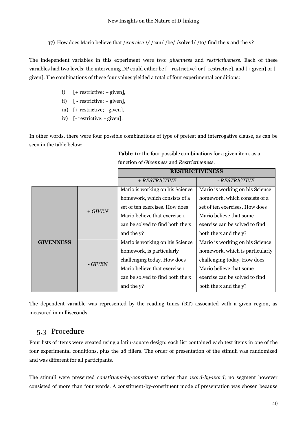37) How does Mario believe that /*exercise 1*//can//be//solved//to/find the x and the y?

The independent variables in this experiment were two: *givenness* and *restrictiveness*. Each of these variables had two levels: the intervening DP could either be [+ restrictive] or [-restrictive], and [+ given] or [ given]. The combinations of these four values yielded a total of four experimental conditions:

- i) [+ restrictive; + given],
- ii) [ restrictive; + given],
- iii) [+ restrictive; given],
- iv) [- restrictive; given].

In other words, there were four possible combinations of type of pretest and interrogative clause, as can be seen in the table below:

|                  |           | <b>RESTRICTIVENESS</b>           |                                 |
|------------------|-----------|----------------------------------|---------------------------------|
|                  |           | $+$ RESTRICTIVE                  | - RESTRICTIVE                   |
| <b>GIVENNESS</b> | $+ GIVEN$ | Mario is working on his Science  | Mario is working on his Science |
|                  |           | homework, which consists of a    | homework, which consists of a   |
|                  |           | set of ten exercises. How does   | set of ten exercises. How does  |
|                  |           | Mario believe that exercise 1    | Mario believe that some         |
|                  |           | can be solved to find both the x | exercise can be solved to find  |
|                  |           | and the y?                       | both the x and the y?           |
|                  | - GIVEN   | Mario is working on his Science  | Mario is working on his Science |
|                  |           | homework, is particularly        | homework, which is particularly |
|                  |           | challenging today. How does      | challenging today. How does     |
|                  |           | Mario believe that exercise 1    | Mario believe that some         |
|                  |           | can be solved to find both the x | exercise can be solved to find  |
|                  |           | and the y?                       | both the x and the y?           |

 **Table 11:** the four possible combinations for a given item, as a function of *Givenness* and *Restrictiveness*.

The dependent variable was represented by the reading times (RT) associated with a given region, as measured in milliseconds.

## <span id="page-39-0"></span>5.3 Procedure

Four lists of items were created using a latin-square design: each list contained each test items in one of the four experimental conditions, plus the 28 fillers. The order of presentation of the stimuli was randomized and was different for all participants.

The stimuli were presented *constituent-by-constituent* rather than *word-by-word*; no segment however consisted of more than four words. A constituent-by-constituent mode of presentation was chosen because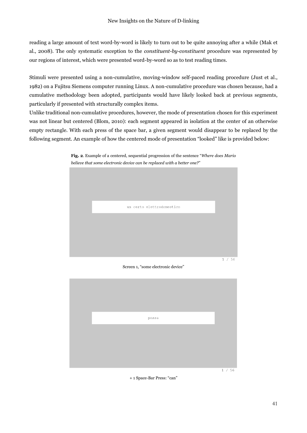reading a large amount of text word-by-word is likely to turn out to be quite annoying after a while (Mak et al., 2008). The only systematic exception to the *constituent-by-constituent* procedure was represented by our regions of interest, which were presented word-by-word so as to test reading times.

Stimuli were presented using a non-cumulative, moving-window self-paced reading procedure (Just et al., 1982) on a Fujitsu Siemens computer running Linux. A non-cumulative procedure was chosen because, had a cumulative methodology been adopted, participants would have likely looked back at previous segments, particularly if presented with structurally complex items.

Unlike traditional non-cumulative procedures, however, the mode of presentation chosen for this experiment was not linear but centered (Blom, 2010): each segment appeared in isolation at the center of an otherwise empty rectangle. With each press of the space bar, a given segment would disappear to be replaced by the following segment. An example of how the centered mode of presentation "looked" like is provided below:



**Fig. 2**. Example of a centered, sequential progression of the sentence "*Where does Mario believe that some electronic device can be replaced with a better one?*"

Screen 1, "some electronic device"



+ 1 Space-Bar Press: "can"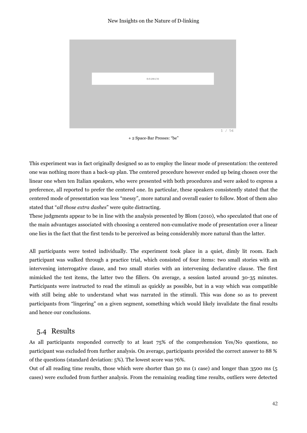

+ 2 Space-Bar Presses: "be"

This experiment was in fact originally designed so as to employ the linear mode of presentation: the centered one was nothing more than a back-up plan. The centered procedure however ended up being chosen over the linear one when ten Italian speakers, who were presented with both procedures and were asked to express a preference, all reported to prefer the centered one. In particular, these speakers consistently stated that the centered mode of presentation was less "messy", more natural and overall easier to follow. Most of them also stated that "*all those extra dashes*" were quite distracting.

These judgments appear to be in line with the analysis presented by Blom (2010), who speculated that one of the main advantages associated with choosing a centered non-cumulative mode of presentation over a linear one lies in the fact that the first tends to be perceived as being considerably more natural than the latter.

All participants were tested individually. The experiment took place in a quiet, dimly lit room. Each participant was walked through a practice trial, which consisted of four items: two small stories with an intervening interrogative clause, and two small stories with an intervening declarative clause. The first mimicked the test items, the latter two the fillers. On average, a session lasted around 30-35 minutes. Participants were instructed to read the stimuli as quickly as possible, but in a way which was compatible with still being able to understand what was narrated in the stimuli. This was done so as to prevent participants from "lingering" on a given segment, something which would likely invalidate the final results and hence our conclusions.

### <span id="page-41-0"></span>5.4 Results

As all participants responded correctly to at least 75% of the comprehension Yes/No questions, no participant was excluded from further analysis. On average, participants provided the correct answer to 88 % of the questions (standard deviation: 5%). The lowest score was 76%.

Out of all reading time results, those which were shorter than 50 ms (1 case) and longer than 3500 ms (5 cases) were excluded from further analysis. From the remaining reading time results, outliers were detected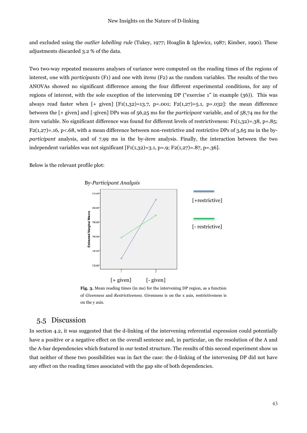and excluded using the *outlier labelling rule* (Tukey, 1977; Hoaglin & Iglewicz, 1987; Kimber, 1990). These adjustments discarded 3.2 % of the data.

Two two-way repeated measures analyses of variance were computed on the reading times of the regions of interest, one with *participants* (F1) and one with *items* (F2) as the random variables. The results of the two ANOVAs showed no significant difference among the four different experimental conditions, for any of regions of interest, with the sole exception of the intervening DP ("exercise 1" in example (36)). This was always read faster when  $[+$  given]  $[F1(1,32)=13.7, p=.001; F2(1,27)=5.1, p=.032]$ : the mean difference between the [+ given] and [-given] DPs was of 56,25 ms for the *participant* variable, and of 58,74 ms for the *item* variable. No significant difference was found for different levels of restrictiveness: F1(1,32)=.38, p=.85;  $F2(1,27)=.16$ , p<.68, with a mean difference between non-restrictive and restrictive DPs of 3,65 ms in the by*participant* analysis, and of 7,99 ms in the by-*item* analysis. Finally, the interaction between the two independent variables was not significant  $[F1(1,32)=3.1, p=.9; F2(1,27)=.87, p=.36].$ 

Below is the relevant profile plot:



**Fig. 3.** Mean reading times (in ms) for the intervening DP region, as a function of *Givenness* and *Restrictiveness*. Givenness is on the x axis, restrictiveness is on the y axis.

### <span id="page-42-0"></span>5.5 Discussion

In section 4.2, it was suggested that the d-linking of the intervening referential expression could potentially have a positive or a negative effect on the overall sentence and, in particular, on the resolution of the A and the A-bar dependencies which featured in our tested structure. The results of this second experiment show us that neither of these two possibilities was in fact the case: the d-linking of the intervening DP did not have any effect on the reading times associated with the gap site of both dependencies.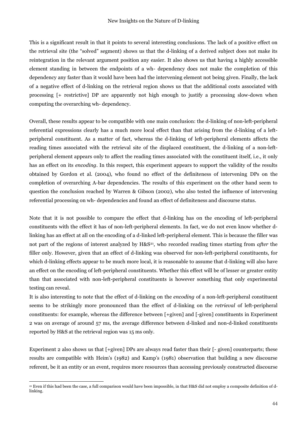This is a significant result in that it points to several interesting conclusions. The lack of a positive effect on the retrieval site (the "solved" segment) shows us that the d-linking of a derived subject does not make its reintegration in the relevant argument position any easier. It also shows us that having a highly accessible element standing in between the endpoints of a wh- dependency does not make the completion of this dependency any faster than it would have been had the intervening element not being given. Finally, the lack of a negative effect of d-linking on the retrieval region shows us that the additional costs associated with processing [+ restrictive] DP are apparently not high enough to justify a processing slow-down when computing the overarching wh- dependency.

Overall, these results appear to be compatible with one main conclusion: the d-linking of non-left-peripheral referential expressions clearly has a much more local effect than that arising from the d-linking of a leftperipheral constituent. As a matter of fact, whereas the d-linking of left-peripheral elements affects the reading times associated with the retrieval site of the displaced constituent, the d-linking of a non-leftperipheral element appears only to affect the reading times associated with the constituent itself, i.e., it only has an effect on its *encoding*. In this respect, this experiment appears to support the validity of the results obtained by Gordon et al. (2004), who found no effect of the definiteness of intervening DPs on the completion of overarching A-bar dependencies. The results of this experiment on the other hand seem to question the conclusion reached by Warren & Gibson (2002), who also tested the influence of intervening referential processing on wh- dependencies and found an effect of definiteness and discourse status.

Note that it is not possible to compare the effect that d-linking has on the encoding of left-peripheral constituents with the effect it has of non-left-peripheral elements. In fact, we do not even know whether dlinking has an effect at all on the encoding of a d-linked left-peripheral element. This is because the filler was not part of the regions of interest analyzed by H&S<sup>21</sup>, who recorded reading times starting from *after* the filler only. However, given that an effect of d-linking was observed for non-left-peripheral constituents, for which d-linking effects appear to be much more local, it is reasonable to assume that d-linking will also have an effect on the encoding of left-peripheral constituents. Whether this effect will be of lesser or greater entity than that associated with non-left-peripheral constituents is however something that only experimental testing can reveal.

It is also interesting to note that the effect of d-linking on the *encoding* of a non-left-peripheral constituent seems to be strikingly more pronounced than the effect of d-linking on the *retrieval* of left-peripheral constituents: for example, whereas the difference between [+given] and [-given] constituents in Experiment 2 was on average of around 57 ms, the average difference between d-linked and non-d-linked constituents reported by H&S at the retrieval region was 15 ms only.

Experiment 2 also shows us that [+given] DPs are always read faster than their [- given] counterparts; these results are compatible with Heim's (1982) and Kamp's (1981) observation that building a new discourse referent, be it an entity or an event, requires more resources than accessing previously constructed discourse

 $\overline{a}$ <sup>21</sup> Even if this had been the case, a full comparison would have been impossible, in that H&S did not employ a composite definition of dlinking.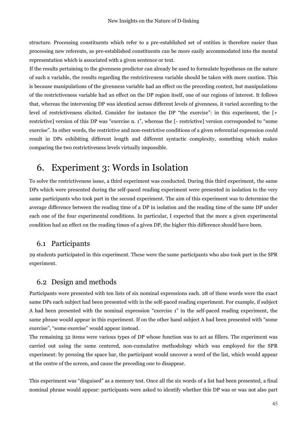structure. Processing constituents which refer to a pre-established set of entities is therefore easier than processing new referents, as pre-established constituents can be more easily accommodated into the mental representation which is associated with a given sentence or text.

If the results pertaining to the givenness predictor can already be used to formulate hypotheses on the nature of such a variable, the results regarding the restrictiveness variable should be taken with more caution. This is because manipulations of the givenness variable had an effect on the preceding context, but manipulations of the restrictiveness variable had an effect on the DP region itself, one of our regions of interest. It follows that, whereas the intervening DP was identical across different levels of givenness, it varied according to the level of restrictiveness elicited. Consider for instance the DP "the exercise": in this experiment, the [+ restrictive] version of this DP was "exercise n. 1", whereas the [- restrictive] version corresponded to "some exercise". In other words, the restrictive and non-restrictive conditions of a given referential expression could result in DPs exhibiting different length and different syntactic complexity, something which makes comparing the two restrictiveness levels virtually impossible.

## <span id="page-44-0"></span>6. Experiment 3: Words in Isolation

To solve the restrictiveness issue, a third experiment was conducted. During this third experiment, the same DPs which were presented during the self-paced reading experiment were presented in isolation to the very same participants who took part in the second experiment. The aim of this experiment was to determine the average difference between the reading time of a DP in isolation and the reading time of the same DP under each one of the four experimental conditions. In particular, I expected that the more a given experimental condition had an effect on the reading times of a given DP, the higher this difference should have been.

### <span id="page-44-1"></span>6.1 Participants

29 students participated in this experiment. These were the same participants who also took part in the SPR experiment.

### <span id="page-44-2"></span>6.2 Design and methods

Participants were presented with ten lists of six nominal expressions each. 28 of these words were the exact same DPs each subject had been presented with in the self-paced reading experiment. For example, if subject A had been presented with the nominal expression "exercise 1" in the self-paced reading experiment, the same phrase would appear in this experiment. If on the other hand subject A had been presented with "some exercise", "some exercise" would appear instead.

The remaining 32 items were various types of DP whose function was to act as fillers. The experiment was carried out using the same centered, non-cumulative methodology which was employed for the SPR experiment: by pressing the space bar, the participant would uncover a word of the list, which would appear at the centre of the screen, and cause the preceding one to disappear.

This experiment was "disguised" as a memory test. Once all the six words of a list had been presented, a final nominal phrase would appear: participants were asked to identify whether this DP was or was not also part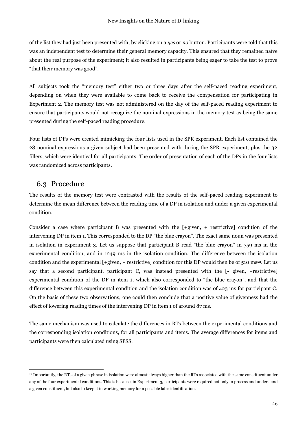of the list they had just been presented with, by clicking on a *yes* or *no* button. Participants were told that this was an independent test to determine their general memory capacity. This ensured that they remained naïve about the real purpose of the experiment; it also resulted in participants being eager to take the test to prove "that their memory was good".

All subjects took the "memory test" either two or three days after the self-paced reading experiment, depending on when they were available to come back to receive the compensation for participating in Experiment 2. The memory test was not administered on the day of the self-paced reading experiment to ensure that participants would not recognize the nominal expressions in the memory test as being the same presented during the self-paced reading procedure.

Four lists of DPs were created mimicking the four lists used in the SPR experiment. Each list contained the 28 nominal expressions a given subject had been presented with during the SPR experiment, plus the 32 fillers, which were identical for all participants. The order of presentation of each of the DPs in the four lists was randomized across participants.

### <span id="page-45-0"></span>6.3 Procedure

 $\overline{a}$ 

The results of the memory test were contrasted with the results of the self-paced reading experiment to determine the mean difference between the reading time of a DP in isolation and under a given experimental condition.

Consider a case where participant B was presented with the [+given, + restrictive] condition of the intervening DP in item 1. This corresponded to the DP "the blue crayon". The exact same noun was presented in isolation in experiment 3. Let us suppose that participant B read "the blue crayon" in 759 ms in the experimental condition, and in 1249 ms in the isolation condition. The difference between the isolation condition and the experimental  $[+$ given,  $+$  restrictive] condition for this DP would then be of 510 ms<sup>22</sup>. Let us say that a second participant, participant C, was instead presented with the [- given, +restrictive] experimental condition of the DP in item 1, which also corresponded to "the blue crayon", and that the difference between this experimental condition and the isolation condition was of 423 ms for participant C. On the basis of these two observations, one could then conclude that a positive value of givenness had the effect of lowering reading times of the intervening DP in item 1 of around 87 ms.

The same mechanism was used to calculate the differences in RTs between the experimental conditions and the corresponding isolation conditions, for all participants and items. The average differences for items and participants were then calculated using SPSS.

<sup>22</sup> Importantly, the RTs of a given phrase in isolation were almost always higher than the RTs associated with the same constituent under any of the four experimental conditions. This is because, in Experiment 3, participants were required not only to process and understand a given constituent, but also to keep it in working memory for a possible later identification.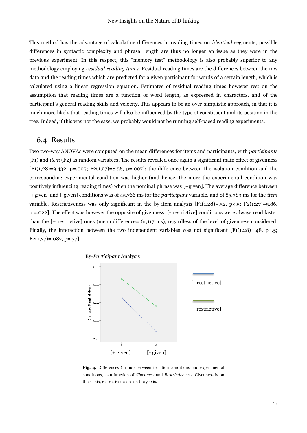This method has the advantage of calculating differences in reading times on *identical* segments; possible differences in syntactic complexity and phrasal length are thus no longer an issue as they were in the previous experiment. In this respect, this "memory test" methodology is also probably superior to any methodology employing *residual reading times*. Residual reading times are the differences between the raw data and the reading times which are predicted for a given participant for words of a certain length, which is calculated using a linear regression equation. Estimates of residual reading times however rest on the assumption that reading times are a function of word length, as expressed in characters, and of the participant's general reading skills and velocity. This appears to be an over-simplistic approach, in that it is much more likely that reading times will also be influenced by the type of constituent and its position in the tree. Indeed, if this was not the case, we probably would not be running self-paced reading experiments.

#### <span id="page-46-0"></span>6.4 Results

Two two-way ANOVAs were computed on the mean differences for items and participants, with *participants* (F1) and *item* (F2) as random variables. The results revealed once again a significant main effect of givenness  $[F1(1,28)=9.432, p=.005; F2(1,27)=8.56, p=.007]$ : the difference between the isolation condition and the corresponding experimental condition was higher (and hence, the more the experimental condition was positively influencing reading times) when the nominal phrase was [+given]. The average difference between [+given] and [-given] conditions was of 45,766 ms for the *participant* variable, and of 85,383 ms for the *item* variable. Restrictiveness was only significant in the by-item analysis [F1(1,28)=.52, p<.5; F2(1;27)=5.86, p.=.022]. The effect was however the opposite of givenness: [- restrictive] conditions were always read faster than the [+ restrictive] ones (mean difference= 61,117 ms), regardless of the level of givenness considered. Finally, the interaction between the two independent variables was not significant  $[F1(1,28)=.48, p=.5;$ F2(1,27)=.087, p=.77].



**Fig. 4.** Differences (in ms) between isolation conditions and experimental conditions, as a function of *Givenness* and *Restrictiveness*. Givenness is on the x axis, restrictiveness is on the y axis.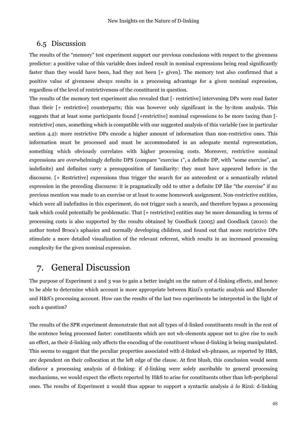### <span id="page-47-0"></span>6.5 Discussion

The results of the "memory" test experiment support our previous conclusions with respect to the givenness predictor: a positive value of this variable does indeed result in nominal expressions being read significantly faster than they would have been, had they not been [+ given]. The memory test also confirmed that a positive value of givenness always results in a processing advantage for a given nominal expression, regardless of the level of restrictiveness of the constituent in question.

The results of the memory test experiment also revealed that [- restrictive] intervening DPs were read faster than their [+ restrictive] counterparts; this was however only significant in the by-item analysis. This suggests that at least some participants found [+restrictive] nominal expressions to be more taxing than [ restrictive] ones, something which is compatible with our suggested analysis of this variable (see in particular section 4.2): more restrictive DPs encode a higher amount of information than non-restrictive ones. This information must be processed and must be accommodated in an adequate mental representation, something which obviously correlates with higher processing costs. Moreover, restrictive nominal expressions are overwhelmingly definite DPS (compare "exercise 1", a definite DP, with "some exercise", an indefinite) and definites carry a presupposition of familiarity: they must have appeared before in the discourse. [+ Restrictive] expressions thus trigger the search for an antecedent or a semantically related expression in the preceding discourse: it is pragmatically odd to utter a definite DP like "the exercise" if no previous mention was made to an exercise or at least to some homework assignment. Non-restrictive entities, which were all indefinites in this experiment, do not trigger such a search, and therefore bypass a processing task which could potentially be problematic. That [+ restrictive] entities may be more demanding in terms of processing costs is also supported by the results obtained by Goodluck (2005) and Goodluck (2010): the author tested Broca's aphasics and normally developing children, and found out that more restrictive DPs stimulate a more detailed visualization of the relevant referent, which results in an increased processing complexity for the given nominal expression.

### <span id="page-47-1"></span>7. General Discussion

The purpose of Experiment 2 and 3 was to gain a better insight on the nature of d-linking effects, and hence to be able to determine which account is more appropriate between Rizzi's syntactic analysis and Kluender and H&S's processing account. How can the results of the last two experiments be interpreted in the light of such a question?

The results of the SPR experiment demonstrate that not all types of d-linked constituents result in the rest of the sentence being processed faster: constituents which are not wh-elements appear not to give rise to such an effect, as their d-linking only affects the encoding of the constituent whose d-linking is being manipulated. This seems to suggest that the peculiar properties associated with d-linked wh-phrases, as reported by H&S, are dependent on their collocation at the left edge of the clause. At first blush, this conclusion would seem disfavor a processing analysis of d-linking: if d-linking were solely ascribable to general processing mechanisms, we would expect the effects reported by H&S to arise for constituents other than left-peripheral ones. The results of Experiment 2 would thus appear to support a syntactic analysis *à la* Rizzi: d-linking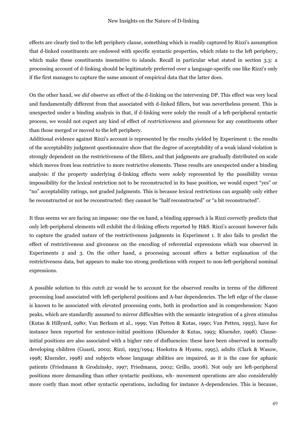effects are clearly tied to the left periphery clause, something which is readily captured by Rizzi's assumption that d-linked constituents are endowed with specific syntactic properties, which relate to the left periphery, which make these constituents insensitive to islands. Recall in particular what stated in section 3.3: a processing account of d-linking should be legitimately preferred over a language-specific one like Rizzi's only if the first manages to capture the same amount of empirical data that the latter does.

On the other hand, we *did* observe an effect of the d-linking on the intervening DP. This effect was very local and fundamentally different from that associated with d-linked fillers, but was nevertheless present. This is unexpected under a binding analysis in that, if d-linking were solely the result of a left-peripheral syntactic process, we would not expect any kind of effect of *restrictiveness* and *givenness* for any constituents other than those merged or moved to the left periphery.

Additional evidence against Rizzi's account is represented by the results yielded by Experiment 1: the results of the acceptability judgment questionnaire show that the degree of acceptability of a weak island violation is strongly dependent on the restrictiveness of the fillers, and that judgments are gradually distributed on scale which moves from less restrictive to more restrictive elements. These results are unexpected under a binding analysis: if the property underlying d-linking effects were solely represented by the possibility versus impossibility for the lexical restriction not to be reconstructed in its base position, we would expect "yes" or "no" acceptability ratings, not graded judgments. This is because lexical restrictions can arguably only either be reconstructed or not be reconstructed: they cannot be "half reconstructed" or "a bit reconstructed".

It thus seems we are facing an impasse: one the on hand, a binding approach à la Rizzi correctly predicts that only left-peripheral elements will exhibit the d-linking effects reported by H&S. Rizzi's account however fails to capture the graded nature of the restrictiveness judgments in Experiment 1. It also fails to predict the effect of restrictiveness and givenness on the encoding of referential expressions which was observed in Experiments 2 and 3. On the other hand, a processing account offers a better explanation of the restrictiveness data, but appears to make too strong predictions with respect to non-left-peripheral nominal expressions.

A possible solution to this *catch 22* would be to account for the observed results in terms of the different processing load associated with left-peripheral positions and A-bar dependencies. The left edge of the clause is known to be associated with elevated processing costs, both in production and in comprehension: N400 peaks, which are standardly assumed to mirror difficulties with the semantic integration of a given stimulus (Kutas & Hillyard, 1980; Van Berkum et al., 1999; Van Petten & Kutas, 1990; Van Petten, 1993), have for instance been reported for sentence-initial positions (Kluender & Kutas, 1993; Kluender, 1998). Clauseinitial positions are also associated with a higher rate of disfluencies: these have been observed in normally developing children (Guasti, 2002; Rizzi, 1993/1994; Hoekstra & Hyams, 1995), adults (Clark & Wasow, 1998; Kluender, 1998) and subjects whose language abilities are impaired, as it is the case for aphasic patients (Friedmann & Grodzinsky, 1997; Friedmann, 2002; Grillo, 2008). Not only are left-peripheral positions more demanding than other syntactic positions, wh- movement operations are also considerably more costly than most other syntactic operations, including for instance A-dependencies. This is because,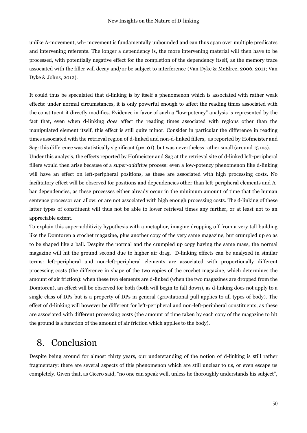unlike A-movement, wh- movement is fundamentally unbounded and can thus span over multiple predicates and intervening referents. The longer a dependency is, the more intervening material will then have to be processed, with potentially negative effect for the completion of the dependency itself, as the memory trace associated with the filler will decay and/or be subject to interference (Van Dyke & McElree, 2006, 2011; Van Dyke & Johns, 2012).

It could thus be speculated that d-linking is by itself a phenomenon which is associated with rather weak effects: under normal circumstances, it is only powerful enough to affect the reading times associated with the constituent it directly modifies. Evidence in favor of such a "low-potency" analysis is represented by the fact that, even when d-linking *does* affect the reading times associated with regions other than the manipulated element itself, this effect is still quite minor. Consider in particular the difference in reading times associated with the retrieval region of d-linked and non-d-linked fillers, as reported by Hofmeister and Sag: this difference was statistically significant (p= .01), but was nevertheless rather small (around 15 ms). Under this analysis, the effects reported by Hofmeister and Sag at the retrieval site of d-linked left-peripheral fillers would then arise because of a *super-additive* process: even a low-potency phenomenon like d-linking will have an effect on left-peripheral positions, as these are associated with high processing costs. No facilitatory effect will be observed for positions and dependencies other than left-peripheral elements and Abar dependencies, as these processes either already occur in the minimum amount of time that the human

sentence processor can allow, or are not associated with high enough processing costs. The d-linking of these latter types of constituent will thus not be able to lower retrieval times any further, or at least not to an appreciable extent.

To explain this super-additivity hypothesis with a metaphor, imagine dropping off from a very tall building like the Domtoren a crochet magazine, plus another copy of the very same magazine, but crumpled up so as to be shaped like a ball. Despite the normal and the crumpled up copy having the same mass, the normal magazine will hit the ground second due to higher air drag. D-linking effects can be analyzed in similar terms: left-peripheral and non-left-peripheral elements are associated with proportionally different processing costs (the difference in shape of the two copies of the crochet magazine, which determines the amount of air friction): when these two elements are d-linked (when the two magazines are dropped from the Domtoren), an effect will be observed for both (both will begin to fall down), as d-linking does not apply to a single class of DPs but is a property of DPs in general (gravitational pull applies to all types of body). The effect of d-linking will however be different for left-peripheral and non-left-peripheral constituents, as these are associated with different processing costs (the amount of time taken by each copy of the magazine to hit the ground is a function of the amount of air friction which applies to the body).

## <span id="page-49-0"></span>8. Conclusion

Despite being around for almost thirty years, our understanding of the notion of d-linking is still rather fragmentary: there are several aspects of this phenomenon which are still unclear to us, or even escape us completely. Given that, as Cicero said, "no one can speak well, unless he thoroughly understands his subject",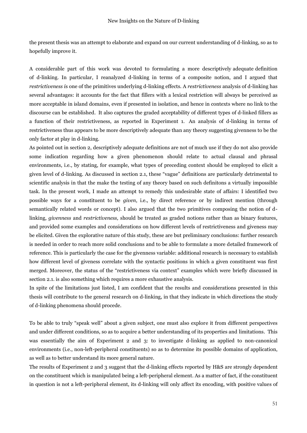the present thesis was an attempt to elaborate and expand on our current understanding of d-linking, so as to hopefully improve it.

A considerable part of this work was devoted to formulating a more descriptively adequate definition of d-linking. In particular, I reanalyzed d-linking in terms of a composite notion, and I argued that *restrictiveness i*s one of the primitives underlying d-linking effects. A *restrictiveness* analysis of d-linking has several advantages: it accounts for the fact that fillers with a lexical restriction will always be perceived as more acceptable in island domains, even if presented in isolation, and hence in contexts where no link to the discourse can be established. It also captures the graded acceptability of different types of d-linked fillers as a function of their restrictiveness, as reported in Experiment 1. An analysis of d-linking in terms of restrictiveness thus appears to be more descriptively adequate than any theory suggesting givenness to be the only factor at play in d-linking.

As pointed out in section 2, descriptively adequate definitions are not of much use if they do not also provide some indication regarding how a given phenomenon should relate to actual clausal and phrasal environments, i.e., by stating, for example, what types of preceding context should be employed to elicit a given level of d-linking. As discussed in section 2.1, these "vague" definitions are particularly detrimental to scientific analysis in that the make the testing of any theory based on such definitons a virtually impossible task. In the present work, I made an attempt to remedy this undesirable state of affairs: I identified two possible ways for a constituent to be *given*, i.e., by direct reference or by indirect mention (through semantically related words or concept). I also argued that the two primitives composing the notion of dlinking, *givenness* and *restrictiveness,* should be treated as graded notions rather than as binary features, and provided some examples and considerations on how different levels of restrictiveness and giveness may be elicited. Given the explorative nature of this study, these are but preliminary conclusions: further research is needed in order to reach more solid conclusions and to be able to formulate a more detailed framework of reference. This is particularly the case for the givenness variable: additional research is necessary to establish how different level of giveness correlate with the syntactic positions in which a given constituent was first merged. Moreover, the status of the "restrictiveness via context" examples which were briefly discussed in section 2.1. is also something which requires a more exhaustive analysis.

In spite of the limitations just listed, I am confident that the results and considerations presented in this thesis will contribute to the general research on d-linking, in that they indicate in which directions the study of d-linking phenomena should procede.

To be able to truly "speak well" about a given subject, one must also explore it from different perspectives and under different conditions, so as to acquire a better understanding of its properties and limitations. This was essentially the aim of Experiment 2 and 3: to investigate d-linking as applied to non-canonical environments (i.e., non-left-peripheral constituents) so as to determine its possible domains of application, as well as to better understand its more general nature.

The results of Experiment 2 and 3 suggest that the d-linking effects reported by H&S are strongly dependent on the constituent which is manipulated being a left-peripheral element. As a matter of fact, if the constituent in question is not a left-peripheral element, its d-linking will only affect its encoding, with positive values of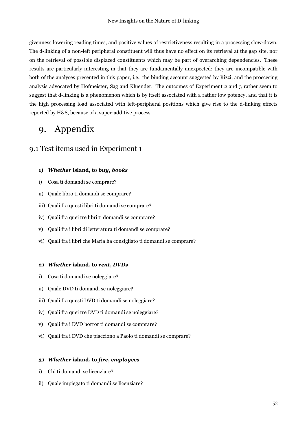givenness lowering reading times, and positive values of restrictiveness resulting in a processing slow-down. The d-linking of a non-left peripheral constituent will thus have no effect on its retrieval at the gap site, nor on the retrieval of possible displaced constituents which may be part of overarching dependencies. These results are particularly interesting in that they are fundamentally unexpected: they are incompatible with both of the analyses presented in this paper, i.e., the binding account suggested by Rizzi, and the proccesing analysis advocated by Hofmeister, Sag and Kluender. The outcomes of Experiment 2 and 3 rather seem to suggest that d-linking is a phenomenon which is by itself associated with a rather low potency, and that it is the high processing load associated with left-peripheral positions which give rise to the d-linking effects reported by H&S, because of a super-additive process.

## <span id="page-51-0"></span>9. Appendix

### <span id="page-51-1"></span>9.1 Test items used in Experiment 1

#### **1)** *Whether* **island, to** *buy***,** *books*

- i) Cosa ti domandi se comprare?
- ii) Quale libro ti domandi se comprare?
- iii) Quali fra questi libri ti domandi se comprare?
- iv) Quali fra quei tre libri ti domandi se comprare?
- v) Quali fra i libri di letteratura ti domandi se comprare?
- vi) Quali fra i libri che Maria ha consigliato ti domandi se comprare?

#### **2)** *Whether* **island, to** *rent***,** *DVDs*

- i) Cosa ti domandi se noleggiare?
- ii) Quale DVD ti domandi se noleggiare?
- iii) Quali fra questi DVD ti domandi se noleggiare?
- iv) Quali fra quei tre DVD ti domandi se noleggiare?
- v) Quali fra i DVD horror ti domandi se comprare?
- vi) Quali fra i DVD che piacciono a Paolo ti domandi se comprare?

#### **3)** *Whether* **island, to** *fire***,** *employees*

- i) Chi ti domandi se licenziare?
- ii) Quale impiegato ti domandi se licenziare?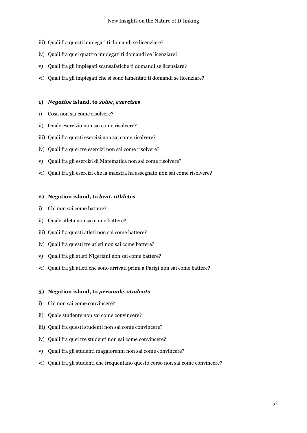- iii) Quali fra questi impiegati ti domandi se licenziare?
- iv) Quali fra quei quattro impiegati ti domandi se licenziare?
- v) Quali fra gli impiegati scansafatiche ti domandi se licenziare?
- vi) Quali fra gli impiegati che si sono lamentati ti domandi se licenziare?

#### **1)** *Negative* **island, to** *solve***,** *exercises*

- i) Cosa non sai come risolvere?
- ii) Quale esercizio non sai come risolvere?
- iii) Quali fra questi esercizi non sai come risolvere?
- iv) Quali fra quei tre esercizi non sai come risolvere?
- v) Quali fra gli esercizi di Matematica non sai come risolvere?
- vi) Quali fra gli esercizi che la maestra ha assegnato non sai come risolvere?

#### **2) Negation island, to** *beat***,** *athletes*

- i) Chi non sai come battere?
- ii) Quale atleta non sai come battere?
- iii) Quali fra questi atleti non sai come battere?
- iv) Quali fra questi tre atleti non sai come battere?
- v) Quali fra gli atleti Nigeriani non sai come battere?
- vi) Quali fra gli atleti che sono arrivati primi a Parigi non sai come battere?

#### **3) Negation island, to** *persuade***,** *students*

- i) Chi non sai come convincere?
- ii) Quale studente non sai come convincere?
- iii) Quali fra questi studenti non sai come convincere?
- iv) Quali fra quei tre studenti non sai come convincere?
- v) Quali fra gli studenti maggiorenni non sai come convincere?
- vi) Quali fra gli studenti che frequentano questo corso non sai come convincere?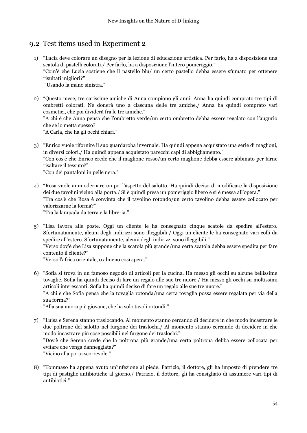### <span id="page-53-0"></span>9.2 Test items used in Experiment 2

- 1) "Lucia deve colorare un disegno per la lezione di educazione artistica. Per farlo, ha a disposizione una scatola di pastelli colorati./ Per farlo, ha a disposizione l'intero pomeriggio." "Com'è che Lucia sostiene che il pastello blu/ un certo pastello debba essere sfumato per ottenere risultati migliori?" "Usando la mano sinistra."
- 2) "Questo mese, tre carissime amiche di Anna compiono gli anni. Anna ha quindi comprato tre tipi di ombretti colorati. Ne donerà uno a ciascuna delle tre amiche./ Anna ha quindi comprato vari cosmetici, che poi dividerà fra le tre amiche."

"A chi è che Anna pensa che l'ombretto verde/un certo ombretto debba essere regalato con l'augurio che se lo metta spesso?"

"A Carla, che ha gli occhi chiari."

3) "Enrico vuole rifornire il suo guardaroba invernale. Ha quindi appena acquistato una serie di maglioni, in diversi colori./ Ha quindi appena acquistato parecchi capi di abbigliamento."

"Con cos'è che Enrico crede che il maglione rosso/un certo maglione debba essere abbinato per farne risaltare il tessuto?"

"Con dei pantaloni in pelle nera."

4) "Rosa vuole ammodernare un po' l'aspetto del salotto. Ha quindi deciso di modificare la disposizione dei due tavolini vicino alla porta./ Si è quindi presa un pomeriggio libero e si è messa all'opera." "Tra cos'è che Rosa è convinta che il tavolino rotondo/un certo tavolino debba essere collocato per valorizzarne la forma?"

"Tra la lampada da terra e la libreria."

5) "Lisa lavora alle poste. Oggi un cliente le ha consegnato cinque scatole da spedire all'estero. Sfortunatamente, alcuni degli indirizzi sono illeggibili./ Oggi un cliente le ha consegnato vari colli da spedire all'estero. Sfortunatamente, alcuni degli indirizzi sono illeggibili." "Verso dov'è che Lisa suppone che la scatola più grande/una certa scatola debba essere spedita per fare contento il cliente?"

"Verso l'africa orientale, o almeno così spera."

6) "Sofia si trova in un famoso negozio di articoli per la cucina. Ha messo gli occhi su alcune bellissime tovaglie. Sofia ha quindi deciso di fare un regalo alle sue tre nuore./ Ha messo gli occhi su moltissimi articoli interessanti. Sofia ha quindi deciso di fare un regalo alle sue tre nuore."

"A chi è che Sofia pensa che la tovaglia rotonda/una certa tovaglia possa essere regalata per via della sua forma?"

"Alla sua nuora più giovane, che ha solo tavoli rotondi."

- 7) "Luisa e Serena stanno traslocando. Al momento stanno cercando di decidere in che modo incastrare le due poltrone del salotto nel furgone dei traslochi./ Al momento stanno cercando di decidere in che modo incastrare più cose possibili nel furgone dei traslochi." "Dov'è che Serena crede che la poltrona più grande/una certa poltrona debba essere collocata per evitare che venga danneggiata?" "Vicino alla porta scorrevole."
- 8) "Tommaso ha appena avuto un'infezione al piede. Patrizio, il dottore, gli ha imposto di prendere tre tipi di pastiglie antibiotiche al giorno./ Patrizio, il dottore, gli ha consigliato di assumere vari tipi di antibiotici."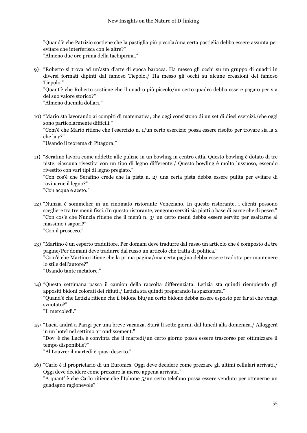"Quand'è che Patrizio sostiene che la pastiglia più piccola/una certa pastiglia debba essere assunta per evitare che interferisca con le altre?"

"Almeno due ore prima della tachipirina."

9) "Roberto si trova ad un'asta d'arte di epoca barocca. Ha messo gli occhi su un gruppo di quadri in diversi formati dipinti dal famoso Tiepolo./ Ha messo gli occhi su alcune creazioni del famoso Tiepolo."

"Quant'è che Roberto sostiene che il quadro più piccolo/un certo quadro debba essere pagato per via del suo valore storico?"

"Almeno duemila dollari."

10) "Mario sta lavorando ai compiti di matematica, che oggi consistono di un set di dieci esercizi./che oggi sono particolarmente difficili." "Com'è che Mario ritiene che l'esercizio n. 1/un certo esercizio possa essere risolto per trovare sia la x che la y?" "Usando il teorema di Pitagora."

11) "Serafino lavora come addetto alle pulizie in un bowling in centro città. Questo bowling è dotato di tre piste, ciascuna rivestita con un tipo di legno differente./ Questo bowling è molto lussuoso, essendo rivestito con vari tipi di legno pregiato."

"Con cos'è che Serafino crede che la pista n. 2/ una certa pista debba essere pulita per evitare di rovinarne il legno?"

"Con acqua e aceto."

- 12) "Nunzia è sommelier in un rinomato ristorante Veneziano. In questo ristorante, i clienti possono scegliere tra tre menù fissi./In questo ristorante, vengono serviti sia piatti a base di carne che di pesce." "Con cos'è che Nunzia ritiene che il menù n. 3/ un certo menù debba essere servito per esaltarne al massimo i sapori?" "Con il prosecco."
- 13) "Martino è un esperto traduttore. Per domani deve tradurre dal russo un articolo che è composto da tre pagine/Per domani deve tradurre dal russo un articolo che tratta di politica." "Com'è che Martino ritiene che la prima pagina/una certa pagina debba essere tradotta per mantenere lo stile dell'autore?" "Usando tante metafore."
- 14) "Questa settimana passa il camion della raccolta differenziata. Letizia sta quindi riempiendo gli appositi bidoni colorati dei rifiuti./ Letizia sta quindi preparando la spazzatura." "Quand'è che Letizia ritiene che il bidone blu/un certo bidone debba essere esposto per far sì che venga svuotato?" "Il mercoledì."
- 15) "Lucia andrà a Parigi per una breve vacanza. Starà lì sette giorni, dal lunedì alla domenica./ Alloggerà in un hotel nel settimo arrondissement." "Dov' è che Lucia è convinta che il martedì/un certo giorno possa essere trascorso per ottimizzare il tempo disponibile?" "Al Louvre: il martedì è quasi deserto."
- 16) "Carlo è il proprietario di un Euronics. Oggi deve decidere come prezzare gli ultimi cellulari arrivati./ Oggi deve decidere come prezzare la merce appena arrivata." "A quant' è che Carlo ritiene che l'Iphone 5/un certo telefono possa essere venduto per ottenerne un guadagno ragionevole?"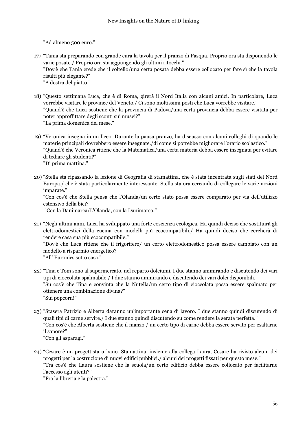"Ad almeno 500 euro."

- 17) "Tania sta preparando con grande cura la tavola per il pranzo di Pasqua. Proprio ora sta disponendo le varie posate./ Proprio ora sta aggiungendo gli ultimi ritocchi." "Dov'è che Tania crede che il coltello/una certa posata debba essere collocato per fare sì che la tavola risulti più elegante?" "A destra del piatto."
- 18) "Questo settimana Luca, che è di Roma, girerà il Nord Italia con alcuni amici. In particolare, Luca vorrebbe visitare le province del Veneto./ Ci sono moltissimi posti che Luca vorrebbe visitare." "Quand'è che Luca sostiene che la provincia di Padova/una certa provincia debba essere visitata per poter approffittare degli sconti sui musei?" "La prima domenica del mese."
- 19) "Veronica insegna in un liceo. Durante la pausa pranzo, ha discusso con alcuni colleghi di quando le materie principali dovrebbero essere insegnate./di come si potrebbe migliorare l'orario scolastico." "Quand'è che Veronica ritiene che la Matematica/una certa materia debba essere insegnata per evitare di tediare gli studenti?" "Di prima mattina."
- 20) "Stella sta ripassando la lezione di Geografia di stamattina, che è stata incentrata sugli stati del Nord Europa./ che è stata particolarmente interessante. Stella sta ora cercando di collegare le varie nozioni imparate."

"Con cos'è che Stella pensa che l'Olanda/un certo stato possa essere comparato per via dell'utilizzo estensivo della bici?"

"Con la Danimarca/L'Olanda, con la Danimarca."

21) "Negli ultimi anni, Luca ha sviluppato una forte coscienza ecologica. Ha quindi deciso che sostituirà gli elettrodomestici della cucina con modelli più ecocompatibili./ Ha quindi deciso che cercherà di rendere casa sua più ecocompatibile."

"Dov'è che Luca ritiene che il frigorifero/ un certo elettrodomestico possa essere cambiato con un modello a risparmio energetico?"

"All' Euronics sotto casa."

- 22) "Tina e Tom sono al supermercato, nel reparto dolciumi. I due stanno ammirando e discutendo dei vari tipi di cioccolata spalmabile./ I due stanno ammirando e discutendo dei vari dolci disponibili." "Su cos'è che Tina è convinta che la Nutella/un certo tipo di cioccolata possa essere spalmato per ottenere una combinazione divina?" "Sui popcorn!"
- 23) "Stasera Patrizio e Alberta daranno un'importante cena di lavoro. I due stanno quindi discutendo di quali tipi di carne servire./ I due stanno quindi discutendo su come rendere la serata perfetta." "Con cos'è che Alberta sostiene che il manzo / un certo tipo di carne debba essere servito per esaltarne il sapore?" "Con gli asparagi."
- 24) "Cesare è un progettista urbano. Stamattina, insieme alla collega Laura, Cesare ha rivisto alcuni dei progetti per la costruzione di nuovi edifici pubblici./ alcuni dei progetti fissati per questo mese." "Tra cos'è che Laura sostiene che la scuola/un certo edificio debba essere collocato per facilitarne l'accesso agli utenti?"

"Fra la libreria e la palestra."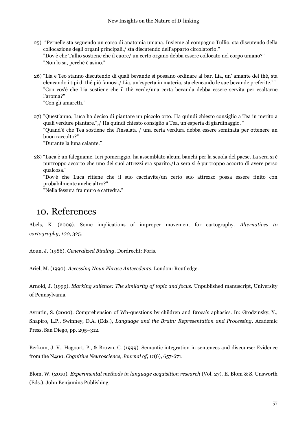- 25) "Pernelle sta seguendo un corso di anatomia umana. Insieme al compagno Tullio, sta discutendo della collocazione degli organi principali./ sta discutendo dell'apparto circolatorio." "Dov'è che Tullio sostiene che il cuore/ un certo organo debba essere collocato nel corpo umano?" "Non lo sa, perchè è asino."
- 26) "Lia e Teo stanno discutendo di quali bevande si possano ordinare al bar. Lia, un' amante del thé, sta elencando i tipi di thé più famosi./ Lia, un'esperta in materia, sta elencando le sue bevande preferite."" "Con cos'è che Lia sostiene che il thè verde/una certa bevanda debba essere servita per esaltarne l'aroma?" "Con gli amaretti."
- 27) "Quest'anno, Luca ha deciso di piantare un piccolo orto. Ha quindi chiesto consiglio a Tea in merito a quali verdure piantare.",/ Ha quindi chiesto consiglio a Tea, un'esperta di giardinaggio. " "Quand'è che Tea sostiene che l'insalata / una certa verdura debba essere seminata per ottenere un buon raccolto?" "Durante la luna calante."

28) "Luca è un falegname. Ieri pomeriggio, ha assemblato alcuni banchi per la scuola del paese. La sera si è purtroppo accorto che uno dei suoi attrezzi era sparito./La sera si è purtroppo accorto di avere perso qualcosa."

"Dov'è che Luca ritiene che il suo cacciavite/un certo suo attrezzo possa essere finito con probabilmente anche altro?"

"Nella fessura fra muro e cattedra."

## <span id="page-56-0"></span>10. References

Abels, K. (2009). Some implications of improper movement for cartography. *Alternatives to cartography*, *100*, 325.

Aoun, J. (1986). *Generalized Binding*. Dordrecht: Foris.

Ariel, M. (1990). *Accessing Noun Phrase Antecedents*. London: Routledge.

Arnold, J. (1999). *Marking salience: The similarity of topic and focus.* Unpublished manuscript, University of Pennsylvania.

Avrutin, S. (2000). Comprehension of Wh-questions by children and Broca's aphasics. In: Grodzinsky, Y., Shapiro, L.P., Swinney, D.A. (Eds.), *Language and the Brain: Representation and Processing*. Academic Press, San Diego, pp. 295–312.

Berkum, J. V., Hagoort, P., & Brown, C. (1999). Semantic integration in sentences and discourse: Evidence from the N400. *Cognitive Neuroscience, Journal of*, *11*(6), 657-671.

Blom, W. (2010). *Experimental methods in language acquisition research* (Vol. 27). E. Blom & S. Unsworth (Eds.). John Benjamins Publishing.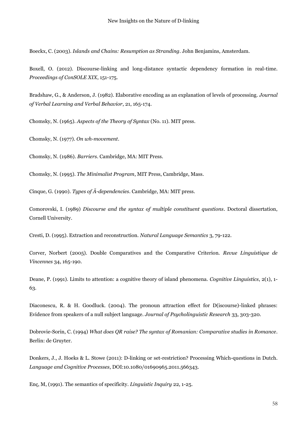Boeckx, C. (2003). *Islands and Chains: Resumption as Stranding*. John Benjamins, Amsterdam.

Boxell, O. (2012). Discourse-linking and long-distance syntactic dependency formation in real-time. *Proceedings of ConSOLE XIX*, 151-175.

Bradshaw, G., & Anderson, J. (1982). Elaborative encoding as an explanation of levels of processing. *Journal of Verbal Learning and Verbal Behavior*, 21, 165-174.

Chomsky, N. (1965). *Aspects of the Theory of Syntax* (No. 11). MIT press.

Chomsky, N. (1977). *On wh-movement*.

Chomsky, N. (1986). *Barriers*. Cambridge, MA: MIT Press.

Chomsky, N. (1995). *The Minimalist Program*, MIT Press, Cambridge, Mass.

Cinque, G. (1990). *Types of Ā-dependencies*. Cambridge, MA: MIT press.

Comorovski, I. (1989) *Discourse and the syntax of multiple constituent questions*. Doctoral dissertation, Cornell University.

Cresti, D. (1995). Extraction and reconstruction. *Natural Language Semantics* 3, 79-122.

Corver, Norbert (2005). Double Comparatives and the Comparative Criterion. *Revue Linguistique de Vincennes* 34, 165-190.

Deane, P. (1991). Limits to attention: a cognitive theory of island phenomena. *Cognitive Linguistics*, 2(1), 1- 63.

Diaconescu, R. & H. Goodluck. (2004). The pronoun attraction effect for D(iscourse)-linked phrases: Evidence from speakers of a null subject language. *Journal of Psycholinguistic Research* 33, 303-320.

Dobrovie-Sorin, C. (1994) *What does QR raise? The syntax of Romanian: Comparative studies in Romance*. Berlin: de Gruyter.

Donkers, J., J. Hoeks & L. Stowe (2011): D-linking or set-restriction? Processing Which-questions in Dutch. *Language and Cognitive Processes*, DOI:10.1080/01690965.2011.566343.

Enç, M, (1991). The semantics of specificity. *Linguistic Inquiry* 22, 1-25.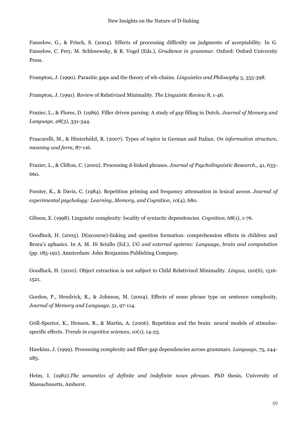Fanselow, G., & Frisch, S. (2004). Effects of processing difficulty on judgments of acceptability. In G. Fanselow, C. Fery, M. Schlesewsky, & R. Vogel (Eds.), *Gradience in grammar*. Oxford: Oxford University Press.

Frampton, J. (1990). Parasitic gaps and the theory of wh-chains. *Linguistics and Philosophy* 5, 355-398.

Frampton, J. (1991). Review of Relativized Minimality. *The Linguistic Review* 8, 1-46.

Frazier, L., & Flores, D. (1989). Filler driven parsing: A study of gap filling in Dutch. *Journal of Memory and Language, 28(3)*, 331-344.

Frascarelli, M., & Hinterhölzl, R. (2007). Types of topics in German and Italian. *On information structure, meaning and form*, 87-116.

Frazier, L., & Clifton, C. (2002). Processing d-linked phrases. *Journal of Psycholinguistic Research.,* 41, 633- 660.

Forster, K., & Davis, C. (1984). Repetition priming and frequency attenuation in lexical access. *Journal of experimental psychology: Learning, Memory, and Cognition*, *10*(4), 680.

Gibson, E. (1998). Linguistic complexity: locality of syntactic dependencies. *Cognition*, 68(1), 1-76.

Goodluck, H. (2005). D(iscourse)-linking and question formation: comprehension effects in children and Broca's aphasics. In A. M. Di Sciullo (Ed.), *UG and external systems: Language, brain and computation* (pp. 185-192). Amsterdam: John Benjamins Publishing Company.

Goodluck, H. (2010). Object extraction is not subject to Child Relativized Minimality. *Lingua*, 120(6), 1516- 1521.

Gordon, P., Hendrick, R., & Johnson, M. (2004). Effects of noun phrase type on sentence complexity. *Journal of Memory and Language*, 51, 97-114.

Grill-Spector, K., Henson, R., & Martin, A. (2006). Repetition and the brain: neural models of stimulusspecific effects. *Trends in cognitive sciences*, *10*(1), 14-23.

Hawkins, J. (1999). Processing complexity and filler-gap dependencies across grammars. *Language*, 75, 244- 285.

Heim, I. (1982).*The semantics of definite and indefinite noun phrases*. PhD thesis, University of Massachusetts, Amherst.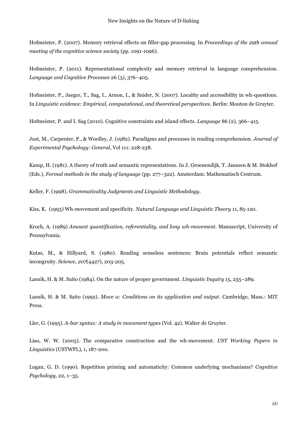Hofmeister, P. (2007). Memory retrieval effects on filler-gap processing. In *Proceedings of the 29th annual meeting of the cognitive science society* (pp. 1091-1096).

Hofmeister, P. (2011). Representational complexity and memory retrieval in language comprehension. *Language and Cognitive Processes* 26 (3), 376–405.

Hofmeister, P., Jaeger, T., Sag, I., Arnon, I., & Snider, N. (2007). Locality and accessibility in wh-questions. In *Linguistic evidence: Empirical, computational, and theoretical perspectives*. Berlin: Mouton de Gruyter.

Hofmeister, P. and I. Sag (2010). Cognitive constraints and island effects. *Language* 86 (2), 366–415.

Just, M., Carpenter, P., & Woolley, J. (1982). Paradigms and processes in reading comprehension. *Journal of Experimental Psychology: General*, Vol 111: 228-238.

Kamp, H. (1981). A theory of truth and semantic representations. In J. Groenendijk, T. Janssen & M. Stokhof (Eds.), *Formal methods in the study of language* (pp. 277–322). Amsterdam: Mathematisch Centrum.

Keller, F. (1998). *Grammaticality Judgments and Linguistic Methodology*.

Kiss, K. (1993) Wh-movement and specificity. *Natural Language and Linguistic Theory* 11, 85-120.

Kroch, A. (1989) *Amount quantification, referentiality, and long wh-movement*. Manuscript, University of Pennsylvania.

Kutas, M., & Hillyard, S. (1980). Reading senseless sentences: Brain potentials reflect semantic incongruity. *Science*, *207*(4427), 203-205.

Lasnik, H. & M. Saito (1984). On the nature of proper government. *Linguistic Inquiry* 15, 235–289.

Lasnik, H. & M. Saito (1992). *Move a: Conditions on its application and output*. Cambridge, Mass.: MIT Press.

Ller, G. (1995). *A-bar syntax: A study in movement types* (Vol. 42). Walter de Gruyter.

Liao, W. W. (2005). The comparative construction and the wh-movement. *UST Working Papers in Linguistics* (USTWPL), 1, 187-200.

Logan, G. D. (1990). Repetition priming and automaticity: Common underlying mechanisms? *Cognitive Psychology,* 22, 1–35.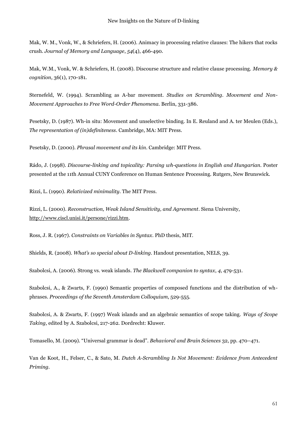Mak, W. M., Vonk, W., & Schriefers, H. (2006). Animacy in processing relative clauses: The hikers that rocks crush. *Journal of Memory and Language*, *54*(4), 466-490.

Mak, W.M., Vonk, W. & Schriefers, H. (2008). Discourse structure and relative clause processing. *Memory & cognition*, 36(1), 170-181.

Sternefeld, W. (1994). Scrambling as A-bar movement. *Studies on Scrambling. Movement and Non-Movement Approaches to Free Word-Order Phenomena.* Berlin, 331-386.

Pesetsky, D. (1987). Wh-in situ: Movement and unselective binding. In E. Reuland and A. ter Meulen (Eds.), *The representation of (in)definiteness*. Cambridge, MA: MIT Press.

Pesetsky, D. (2000). *Phrasal movement and its kin*. Cambridge: MIT Press.

Rádo, J. (1998). *Discourse-linking and topicality: Parsing wh-questions in English and Hungarian*. Poster presented at the 11th Annual CUNY Conference on Human Sentence Processing. Rutgers, New Brunswick.

Rizzi, L. (1990). *Relativized minimality*. The MIT Press.

Rizzi, L. (2000). *Reconstruction, Weak Island Sensitivity, and Agreement*. Siena University, [http://www.ciscl.unisi.it/persone/rizzi.htm.](http://www.ciscl.unisi.it/persone/rizzi.htm)

Ross, J. R. (1967). *Constraints on Variables in Syntax*. PhD thesis, MIT.

Shields, R. (2008). *What's so special about D-linking*. Handout presentation, NELS, 39.

Szabolcsi, A. (2006). Strong vs. weak islands. *The Blackwell companion to syntax*, *4*, 479-531.

Szabolcsi, A., & Zwarts, F. (1990) Semantic properties of composed functions and the distribution of whphrases. *Proceedings of the Seventh Amsterdam Colloquium*, 529-555.

Szabolcsi, A. & Zwarts, F. (1997) Weak islands and an algebraic semantics of scope taking. *Ways of Scope Taking,* edited by A. Szabolcsi, 217-262. Dordrecht: Kluwer.

Tomasello, M. (2009). "Universal grammar is dead". *Behavioral and Brain Sciences* 32, pp. 470–471.

Van de Koot, H., Felser, C., & Sato, M. *Dutch A-Scrambling Is Not Movement: Evidence from Antecedent Priming.*